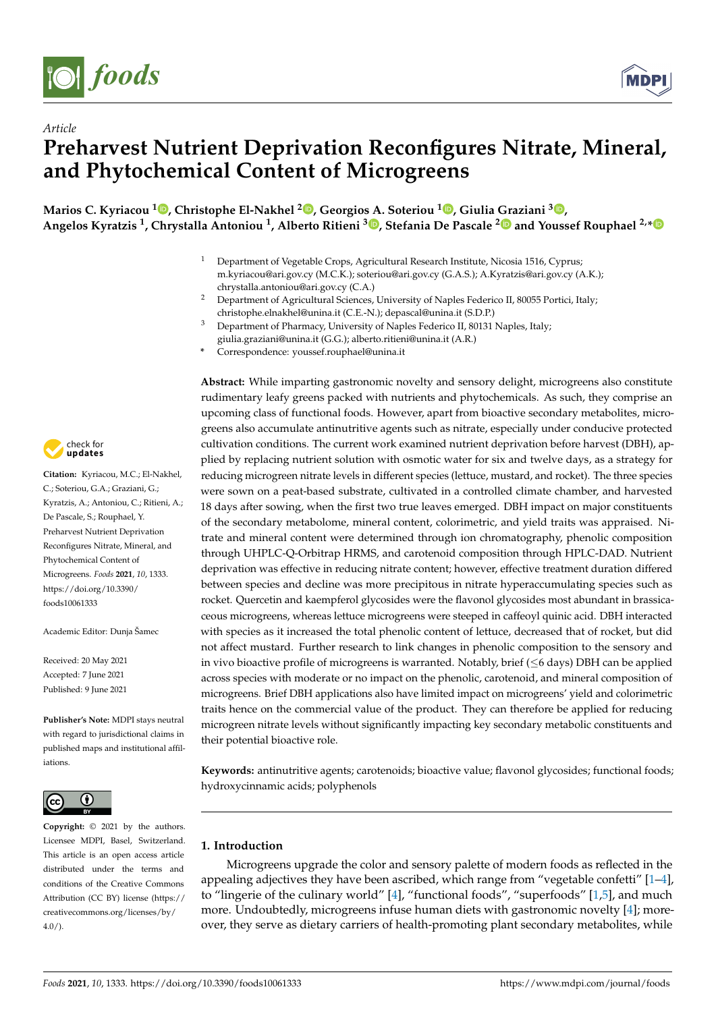

*Article*



# **Preharvest Nutrient Deprivation Reconfigures Nitrate, Mineral, and Phytochemical Content of Microgreens**

**Marios C. Kyriacou <sup>1</sup> [,](https://orcid.org/0000-0002-8753-9521) Christophe El-Nakhel <sup>2</sup> [,](https://orcid.org/0000-0002-1200-2834) Georgios A. Soteriou <sup>1</sup> [,](https://orcid.org/0000-0002-3601-1129) Giulia Graziani <sup>3</sup> [,](https://orcid.org/0000-0003-3070-5389) Angelos Kyratzis <sup>1</sup> , Chrystalla Antoniou <sup>1</sup> , Alberto Ritieni [3](https://orcid.org/0000-0003-0314-8839) , Stefania De Pascale [2](https://orcid.org/0000-0002-3653-7497) and Youssef Rouphael 2,[\\*](https://orcid.org/0000-0002-1002-8651)**

- Department of Vegetable Crops, Agricultural Research Institute, Nicosia 1516, Cyprus; m.kyriacou@ari.gov.cy (M.C.K.); soteriou@ari.gov.cy (G.A.S.); A.Kyratzis@ari.gov.cy (A.K.); chrystalla.antoniou@ari.gov.cy (C.A.)
- <sup>2</sup> Department of Agricultural Sciences, University of Naples Federico II, 80055 Portici, Italy; christophe.elnakhel@unina.it (C.E.-N.); depascal@unina.it (S.D.P.)
- <sup>3</sup> Department of Pharmacy, University of Naples Federico II, 80131 Naples, Italy; giulia.graziani@unina.it (G.G.); alberto.ritieni@unina.it (A.R.)
- **\*** Correspondence: youssef.rouphael@unina.it

check for **-**

**Citation:** Kyriacou, M.C.; El-Nakhel, C.; Soteriou, G.A.; Graziani, G.; Kyratzis, A.; Antoniou, C.; Ritieni, A.; De Pascale, S.; Rouphael, Y. Preharvest Nutrient Deprivation Reconfigures Nitrate, Mineral, and Phytochemical Content of Microgreens. *Foods* **2021**, *10*, 1333. [https://doi.org/10.3390/](https://doi.org/10.3390/foods10061333) [foods10061333](https://doi.org/10.3390/foods10061333)

Academic Editor: Dunja Šamec

Received: 20 May 2021 Accepted: 7 June 2021 Published: 9 June 2021

**Publisher's Note:** MDPI stays neutral with regard to jurisdictional claims in published maps and institutional affiliations.



**Copyright:** © 2021 by the authors. Licensee MDPI, Basel, Switzerland. This article is an open access article distributed under the terms and conditions of the Creative Commons Attribution (CC BY) license (https:/[/](https://creativecommons.org/licenses/by/4.0/) [creativecommons.org/licenses/by/](https://creativecommons.org/licenses/by/4.0/)  $4.0/$ ).

**Abstract:** While imparting gastronomic novelty and sensory delight, microgreens also constitute rudimentary leafy greens packed with nutrients and phytochemicals. As such, they comprise an upcoming class of functional foods. However, apart from bioactive secondary metabolites, microgreens also accumulate antinutritive agents such as nitrate, especially under conducive protected cultivation conditions. The current work examined nutrient deprivation before harvest (DBH), applied by replacing nutrient solution with osmotic water for six and twelve days, as a strategy for reducing microgreen nitrate levels in different species (lettuce, mustard, and rocket). The three species were sown on a peat-based substrate, cultivated in a controlled climate chamber, and harvested 18 days after sowing, when the first two true leaves emerged. DBH impact on major constituents of the secondary metabolome, mineral content, colorimetric, and yield traits was appraised. Nitrate and mineral content were determined through ion chromatography, phenolic composition through UHPLC-Q-Orbitrap HRMS, and carotenoid composition through HPLC-DAD. Nutrient deprivation was effective in reducing nitrate content; however, effective treatment duration differed between species and decline was more precipitous in nitrate hyperaccumulating species such as rocket. Quercetin and kaempferol glycosides were the flavonol glycosides most abundant in brassicaceous microgreens, whereas lettuce microgreens were steeped in caffeoyl quinic acid. DBH interacted with species as it increased the total phenolic content of lettuce, decreased that of rocket, but did not affect mustard. Further research to link changes in phenolic composition to the sensory and in vivo bioactive profile of microgreens is warranted. Notably, brief (≤6 days) DBH can be applied across species with moderate or no impact on the phenolic, carotenoid, and mineral composition of microgreens. Brief DBH applications also have limited impact on microgreens' yield and colorimetric traits hence on the commercial value of the product. They can therefore be applied for reducing microgreen nitrate levels without significantly impacting key secondary metabolic constituents and their potential bioactive role.

**Keywords:** antinutritive agents; carotenoids; bioactive value; flavonol glycosides; functional foods; hydroxycinnamic acids; polyphenols

# **1. Introduction**

Microgreens upgrade the color and sensory palette of modern foods as reflected in the appealing adjectives they have been ascribed, which range from "vegetable confetti"  $[1-4]$  $[1-4]$ , to "lingerie of the culinary world" [\[4\]](#page-13-1), "functional foods", "superfoods" [\[1](#page-13-0)[,5\]](#page-13-2), and much more. Undoubtedly, microgreens infuse human diets with gastronomic novelty [\[4\]](#page-13-1); moreover, they serve as dietary carriers of health-promoting plant secondary metabolites, while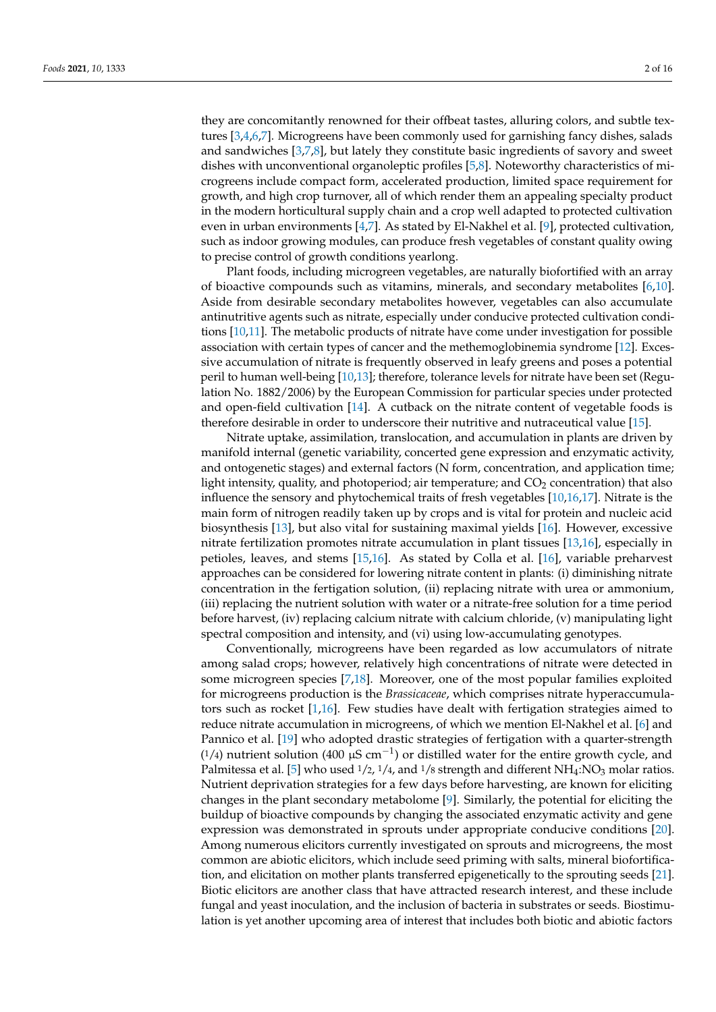they are concomitantly renowned for their offbeat tastes, alluring colors, and subtle textures [\[3](#page-13-3)[,4](#page-13-1)[,6](#page-13-4)[,7\]](#page-13-5). Microgreens have been commonly used for garnishing fancy dishes, salads and sandwiches [\[3,](#page-13-3)[7](#page-13-5)[,8\]](#page-13-6), but lately they constitute basic ingredients of savory and sweet dishes with unconventional organoleptic profiles [\[5](#page-13-2)[,8\]](#page-13-6). Noteworthy characteristics of microgreens include compact form, accelerated production, limited space requirement for growth, and high crop turnover, all of which render them an appealing specialty product in the modern horticultural supply chain and a crop well adapted to protected cultivation even in urban environments [\[4,](#page-13-1)[7\]](#page-13-5). As stated by El-Nakhel et al. [\[9\]](#page-13-7), protected cultivation, such as indoor growing modules, can produce fresh vegetables of constant quality owing to precise control of growth conditions yearlong.

Plant foods, including microgreen vegetables, are naturally biofortified with an array of bioactive compounds such as vitamins, minerals, and secondary metabolites [\[6,](#page-13-4)[10\]](#page-13-8). Aside from desirable secondary metabolites however, vegetables can also accumulate antinutritive agents such as nitrate, especially under conducive protected cultivation conditions [\[10,](#page-13-8)[11\]](#page-13-9). The metabolic products of nitrate have come under investigation for possible association with certain types of cancer and the methemoglobinemia syndrome [\[12\]](#page-13-10). Excessive accumulation of nitrate is frequently observed in leafy greens and poses a potential peril to human well-being [\[10,](#page-13-8)[13\]](#page-13-11); therefore, tolerance levels for nitrate have been set (Regulation No. 1882/2006) by the European Commission for particular species under protected and open-field cultivation [\[14\]](#page-13-12). A cutback on the nitrate content of vegetable foods is therefore desirable in order to underscore their nutritive and nutraceutical value [\[15\]](#page-13-13).

Nitrate uptake, assimilation, translocation, and accumulation in plants are driven by manifold internal (genetic variability, concerted gene expression and enzymatic activity, and ontogenetic stages) and external factors (N form, concentration, and application time; light intensity, quality, and photoperiod; air temperature; and  $CO<sub>2</sub>$  concentration) that also influence the sensory and phytochemical traits of fresh vegetables [\[10](#page-13-8)[,16](#page-13-14)[,17\]](#page-14-0). Nitrate is the main form of nitrogen readily taken up by crops and is vital for protein and nucleic acid biosynthesis [\[13\]](#page-13-11), but also vital for sustaining maximal yields [\[16\]](#page-13-14). However, excessive nitrate fertilization promotes nitrate accumulation in plant tissues [\[13,](#page-13-11)[16\]](#page-13-14), especially in petioles, leaves, and stems [\[15](#page-13-13)[,16\]](#page-13-14). As stated by Colla et al. [\[16\]](#page-13-14), variable preharvest approaches can be considered for lowering nitrate content in plants: (i) diminishing nitrate concentration in the fertigation solution, (ii) replacing nitrate with urea or ammonium, (iii) replacing the nutrient solution with water or a nitrate-free solution for a time period before harvest, (iv) replacing calcium nitrate with calcium chloride, (v) manipulating light spectral composition and intensity, and (vi) using low-accumulating genotypes.

Conventionally, microgreens have been regarded as low accumulators of nitrate among salad crops; however, relatively high concentrations of nitrate were detected in some microgreen species [\[7](#page-13-5)[,18\]](#page-14-1). Moreover, one of the most popular families exploited for microgreens production is the *Brassicaceae*, which comprises nitrate hyperaccumulators such as rocket [\[1](#page-13-0)[,16\]](#page-13-14). Few studies have dealt with fertigation strategies aimed to reduce nitrate accumulation in microgreens, of which we mention El-Nakhel et al. [\[6\]](#page-13-4) and Pannico et al. [\[19\]](#page-14-2) who adopted drastic strategies of fertigation with a quarter-strength (1/4) nutrient solution (400  $\mu$ S cm<sup>-1</sup>) or distilled water for the entire growth cycle, and Palmitessa et al. [\[5\]](#page-13-2) who used  $1/2$ ,  $1/4$ , and  $1/8$  strength and different NH<sub>4</sub>:NO<sub>3</sub> molar ratios. Nutrient deprivation strategies for a few days before harvesting, are known for eliciting changes in the plant secondary metabolome [\[9\]](#page-13-7). Similarly, the potential for eliciting the buildup of bioactive compounds by changing the associated enzymatic activity and gene expression was demonstrated in sprouts under appropriate conducive conditions [\[20\]](#page-14-3). Among numerous elicitors currently investigated on sprouts and microgreens, the most common are abiotic elicitors, which include seed priming with salts, mineral biofortification, and elicitation on mother plants transferred epigenetically to the sprouting seeds [\[21\]](#page-14-4). Biotic elicitors are another class that have attracted research interest, and these include fungal and yeast inoculation, and the inclusion of bacteria in substrates or seeds. Biostimulation is yet another upcoming area of interest that includes both biotic and abiotic factors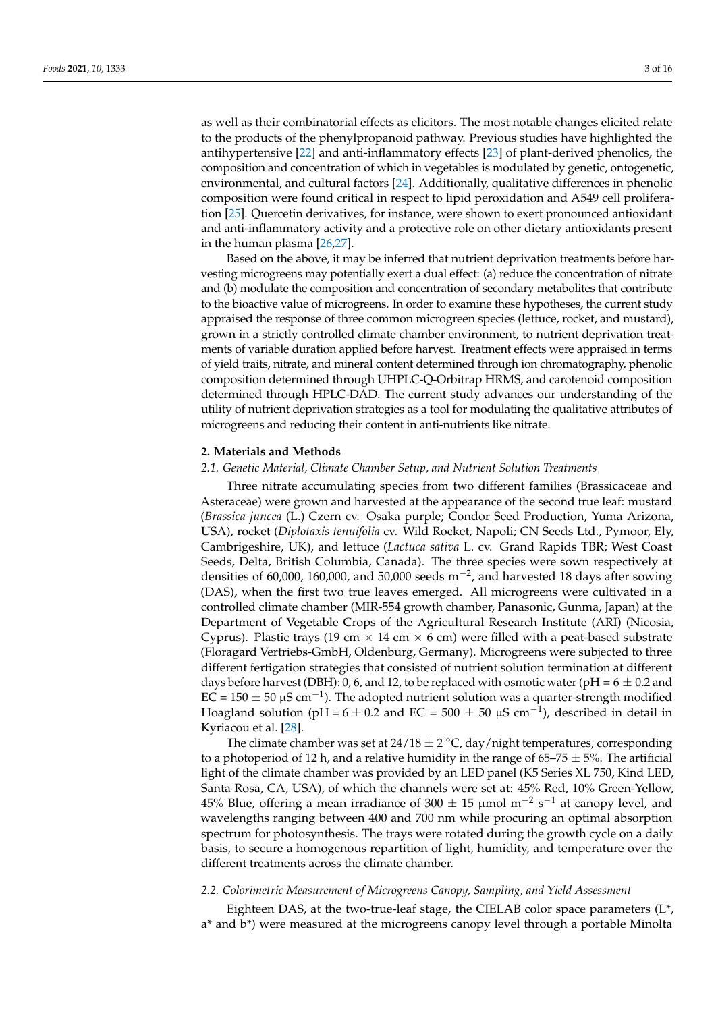as well as their combinatorial effects as elicitors. The most notable changes elicited relate to the products of the phenylpropanoid pathway. Previous studies have highlighted the antihypertensive [\[22\]](#page-14-5) and anti-inflammatory effects [\[23\]](#page-14-6) of plant-derived phenolics, the composition and concentration of which in vegetables is modulated by genetic, ontogenetic, environmental, and cultural factors [\[24\]](#page-14-7). Additionally, qualitative differences in phenolic composition were found critical in respect to lipid peroxidation and A549 cell proliferation [\[25\]](#page-14-8). Quercetin derivatives, for instance, were shown to exert pronounced antioxidant and anti-inflammatory activity and a protective role on other dietary antioxidants present in the human plasma [\[26](#page-14-9)[,27\]](#page-14-10).

Based on the above, it may be inferred that nutrient deprivation treatments before harvesting microgreens may potentially exert a dual effect: (a) reduce the concentration of nitrate and (b) modulate the composition and concentration of secondary metabolites that contribute to the bioactive value of microgreens. In order to examine these hypotheses, the current study appraised the response of three common microgreen species (lettuce, rocket, and mustard), grown in a strictly controlled climate chamber environment, to nutrient deprivation treatments of variable duration applied before harvest. Treatment effects were appraised in terms of yield traits, nitrate, and mineral content determined through ion chromatography, phenolic composition determined through UHPLC-Q-Orbitrap HRMS, and carotenoid composition determined through HPLC-DAD. The current study advances our understanding of the utility of nutrient deprivation strategies as a tool for modulating the qualitative attributes of microgreens and reducing their content in anti-nutrients like nitrate.

## **2. Materials and Methods**

## *2.1. Genetic Material, Climate Chamber Setup, and Nutrient Solution Treatments*

Three nitrate accumulating species from two different families (Brassicaceae and Asteraceae) were grown and harvested at the appearance of the second true leaf: mustard (*Brassica juncea* (L.) Czern cv. Osaka purple; Condor Seed Production, Yuma Arizona, USA), rocket (*Diplotaxis tenuifolia* cv. Wild Rocket, Napoli; CN Seeds Ltd., Pymoor, Ely, Cambrigeshire, UK), and lettuce (*Lactuca sativa* L. cv. Grand Rapids TBR; West Coast Seeds, Delta, British Columbia, Canada). The three species were sown respectively at densities of 60,000, 160,000, and 50,000 seeds m<sup>-2</sup>, and harvested 18 days after sowing (DAS), when the first two true leaves emerged. All microgreens were cultivated in a controlled climate chamber (MIR-554 growth chamber, Panasonic, Gunma, Japan) at the Department of Vegetable Crops of the Agricultural Research Institute (ARI) (Nicosia, Cyprus). Plastic trays (19 cm  $\times$  14 cm  $\times$  6 cm) were filled with a peat-based substrate (Floragard Vertriebs-GmbH, Oldenburg, Germany). Microgreens were subjected to three different fertigation strategies that consisted of nutrient solution termination at different days before harvest (DBH): 0, 6, and 12, to be replaced with osmotic water (pH =  $6 \pm 0.2$  and EC = 150  $\pm$  50 µS cm<sup>-1</sup>). The adopted nutrient solution was a quarter-strength modified Hoagland solution (pH =  $6 \pm 0.2$  and EC =  $500 \pm 50$  µS cm<sup>-1</sup>), described in detail in Kyriacou et al. [\[28\]](#page-14-11).

The climate chamber was set at  $24/18 \pm 2$  °C, day/night temperatures, corresponding to a photoperiod of 12 h, and a relative humidity in the range of  $65-75 \pm 5$ %. The artificial light of the climate chamber was provided by an LED panel (K5 Series XL 750, Kind LED, Santa Rosa, CA, USA), of which the channels were set at: 45% Red, 10% Green-Yellow, 45% Blue, offering a mean irradiance of 300  $\pm$  15 µmol m $^{-2}$  s $^{-1}$  at canopy level, and wavelengths ranging between 400 and 700 nm while procuring an optimal absorption spectrum for photosynthesis. The trays were rotated during the growth cycle on a daily basis, to secure a homogenous repartition of light, humidity, and temperature over the different treatments across the climate chamber.

## *2.2. Colorimetric Measurement of Microgreens Canopy, Sampling, and Yield Assessment*

Eighteen DAS, at the two-true-leaf stage, the CIELAB color space parameters  $(L^*,$ a\* and b\*) were measured at the microgreens canopy level through a portable Minolta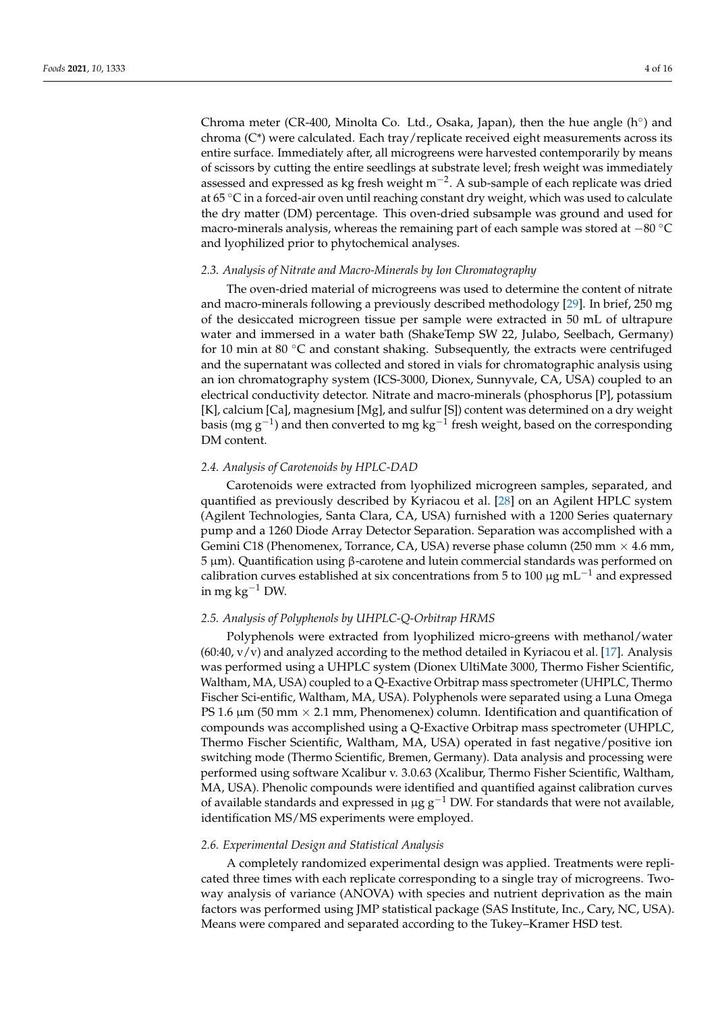Chroma meter (CR-400, Minolta Co. Ltd., Osaka, Japan), then the hue angle  $(h^{\circ})$  and chroma  $(C^*)$  were calculated. Each tray/replicate received eight measurements across its entire surface. Immediately after, all microgreens were harvested contemporarily by means of scissors by cutting the entire seedlings at substrate level; fresh weight was immediately assessed and expressed as kg fresh weight m−<sup>2</sup> . A sub-sample of each replicate was dried at 65  $\degree$ C in a forced-air oven until reaching constant dry weight, which was used to calculate the dry matter (DM) percentage. This oven-dried subsample was ground and used for macro-minerals analysis, whereas the remaining part of each sample was stored at −80 ◦C and lyophilized prior to phytochemical analyses.

## *2.3. Analysis of Nitrate and Macro-Minerals by Ion Chromatography*

The oven-dried material of microgreens was used to determine the content of nitrate and macro-minerals following a previously described methodology [\[29\]](#page-14-12). In brief, 250 mg of the desiccated microgreen tissue per sample were extracted in 50 mL of ultrapure water and immersed in a water bath (ShakeTemp SW 22, Julabo, Seelbach, Germany) for 10 min at 80  $\degree$ C and constant shaking. Subsequently, the extracts were centrifuged and the supernatant was collected and stored in vials for chromatographic analysis using an ion chromatography system (ICS-3000, Dionex, Sunnyvale, CA, USA) coupled to an electrical conductivity detector. Nitrate and macro-minerals (phosphorus [P], potassium [K], calcium [Ca], magnesium [Mg], and sulfur [S]) content was determined on a dry weight basis (mg g<sup>-1</sup>) and then converted to mg kg<sup>-1</sup> fresh weight, based on the corresponding DM content.

## *2.4. Analysis of Carotenoids by HPLC-DAD*

Carotenoids were extracted from lyophilized microgreen samples, separated, and quantified as previously described by Kyriacou et al. [\[28\]](#page-14-11) on an Agilent HPLC system (Agilent Technologies, Santa Clara, CA, USA) furnished with a 1200 Series quaternary pump and a 1260 Diode Array Detector Separation. Separation was accomplished with a Gemini C18 (Phenomenex, Torrance, CA, USA) reverse phase column (250 mm  $\times$  4.6 mm, 5 µm). Quantification using β-carotene and lutein commercial standards was performed on calibration curves established at six concentrations from 5 to 100  $\mu$ g mL<sup>-1</sup> and expressed in mg kg<sup>-1</sup> DW.

# *2.5. Analysis of Polyphenols by UHPLC-Q-Orbitrap HRMS*

Polyphenols were extracted from lyophilized micro-greens with methanol/water  $(60:40, v/v)$  and analyzed according to the method detailed in Kyriacou et al. [\[17\]](#page-14-0). Analysis was performed using a UHPLC system (Dionex UltiMate 3000, Thermo Fisher Scientific, Waltham, MA, USA) coupled to a Q-Exactive Orbitrap mass spectrometer (UHPLC, Thermo Fischer Sci-entific, Waltham, MA, USA). Polyphenols were separated using a Luna Omega PS 1.6  $\mu$ m (50 mm  $\times$  2.1 mm, Phenomenex) column. Identification and quantification of compounds was accomplished using a Q-Exactive Orbitrap mass spectrometer (UHPLC, Thermo Fischer Scientific, Waltham, MA, USA) operated in fast negative/positive ion switching mode (Thermo Scientific, Bremen, Germany). Data analysis and processing were performed using software Xcalibur v. 3.0.63 (Xcalibur, Thermo Fisher Scientific, Waltham, MA, USA). Phenolic compounds were identified and quantified against calibration curves of available standards and expressed in  $\mu$ g g<sup>-1</sup> DW. For standards that were not available, identification MS/MS experiments were employed.

## *2.6. Experimental Design and Statistical Analysis*

A completely randomized experimental design was applied. Treatments were replicated three times with each replicate corresponding to a single tray of microgreens. Twoway analysis of variance (ANOVA) with species and nutrient deprivation as the main factors was performed using JMP statistical package (SAS Institute, Inc., Cary, NC, USA). Means were compared and separated according to the Tukey–Kramer HSD test.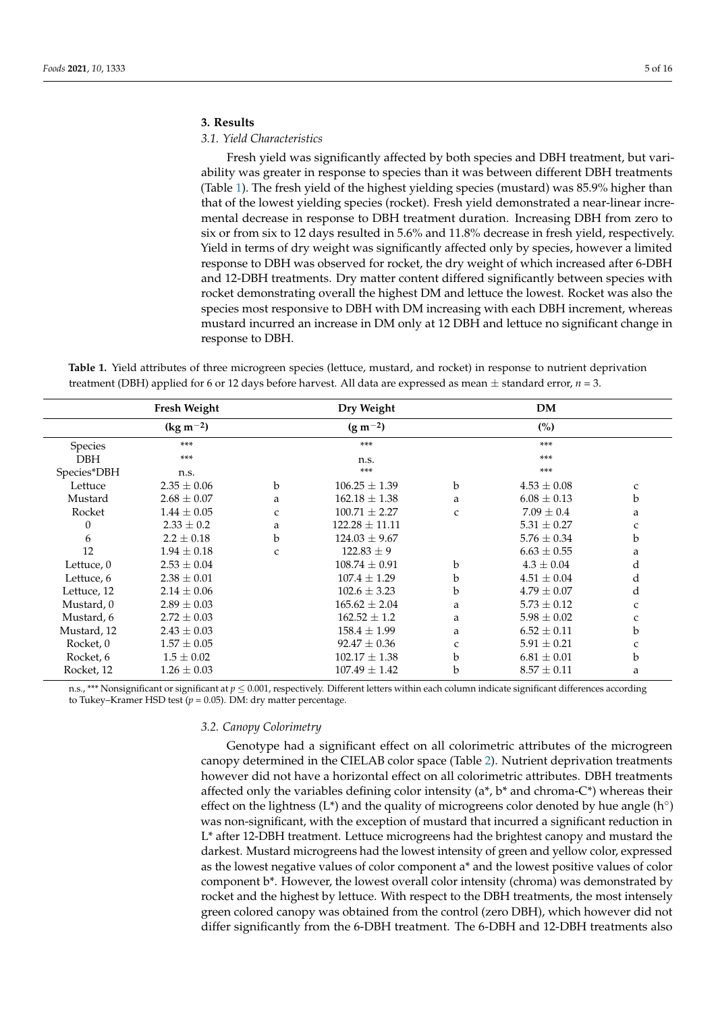## **3. Results**

# *3.1. Yield Characteristics*

Fresh yield was significantly affected by both species and DBH treatment, but variability was greater in response to species than it was between different DBH treatments (Table [1\)](#page-4-0). The fresh yield of the highest yielding species (mustard) was 85.9% higher than that of the lowest yielding species (rocket). Fresh yield demonstrated a near-linear incremental decrease in response to DBH treatment duration. Increasing DBH from zero to six or from six to 12 days resulted in 5.6% and 11.8% decrease in fresh yield, respectively. Yield in terms of dry weight was significantly affected only by species, however a limited response to DBH was observed for rocket, the dry weight of which increased after 6-DBH and 12-DBH treatments. Dry matter content differed significantly between species with rocket demonstrating overall the highest DM and lettuce the lowest. Rocket was also the species most responsive to DBH with DM increasing with each DBH increment, whereas mustard incurred an increase in DM only at 12 DBH and lettuce no significant change in response to DBH.

|                | Fresh Weight    |              |                    | <b>DM</b>    |                 |             |
|----------------|-----------------|--------------|--------------------|--------------|-----------------|-------------|
|                | $(kg m^{-2})$   |              | $(g m^{-2})$       |              | (%)             |             |
| <b>Species</b> | $***$           |              | $***$              |              | $***$           |             |
| <b>DBH</b>     | ***             |              | n.s.               |              | $***$           |             |
| Species*DBH    | n.s.            |              | $***$              |              | $***$           |             |
| Lettuce        | $2.35 \pm 0.06$ | b            | $106.25 \pm 1.39$  | b            | $4.53 \pm 0.08$ | C           |
| Mustard        | $2.68 \pm 0.07$ | a            | $162.18 \pm 1.38$  | a            | $6.08 \pm 0.13$ | b           |
| Rocket         | $1.44 \pm 0.05$ | $\mathbf{C}$ | $100.71 \pm 2.27$  | $\mathsf{C}$ | $7.09 \pm 0.4$  | a           |
| 0              | $2.33 \pm 0.2$  | a            | $122.28 \pm 11.11$ |              | $5.31 \pm 0.27$ | c           |
| 6              | $2.2 \pm 0.18$  | b            | $124.03 \pm 9.67$  |              | $5.76 \pm 0.34$ | $\mathbf b$ |
| 12             | $1.94 \pm 0.18$ | $\mathbf{C}$ | $122.83 \pm 9$     |              | $6.63 \pm 0.55$ | a           |
| Lettuce, 0     | $2.53 \pm 0.04$ |              | $108.74 + 0.91$    | b            | $4.3 \pm 0.04$  | d           |
| Lettuce, 6     | $2.38 \pm 0.01$ |              | $107.4 \pm 1.29$   | b            | $4.51 \pm 0.04$ | d           |
| Lettuce, 12    | $2.14 \pm 0.06$ |              | $102.6 \pm 3.23$   | b            | $4.79 \pm 0.07$ | d           |
| Mustard, 0     | $2.89 \pm 0.03$ |              | $165.62 \pm 2.04$  | a            | $5.73 \pm 0.12$ | C           |
| Mustard, 6     | $2.72 \pm 0.03$ |              | $162.52 \pm 1.2$   | a            | $5.98 \pm 0.02$ | C           |
| Mustard, 12    | $2.43 \pm 0.03$ |              | $158.4 \pm 1.99$   | a            | $6.52 \pm 0.11$ | b           |
| Rocket, 0      | $1.57 \pm 0.05$ |              | $92.47 \pm 0.36$   | C            | $5.91 \pm 0.21$ | C           |
| Rocket, 6      | $1.5 \pm 0.02$  |              | $102.17 \pm 1.38$  | b            | $6.81 \pm 0.01$ | b           |
| Rocket, 12     | $1.26 \pm 0.03$ |              | $107.49 \pm 1.42$  | b            | $8.57 \pm 0.11$ | a           |

<span id="page-4-0"></span>**Table 1.** Yield attributes of three microgreen species (lettuce, mustard, and rocket) in response to nutrient deprivation treatment (DBH) applied for 6 or 12 days before harvest. All data are expressed as mean  $\pm$  standard error,  $n = 3$ .

n.s., \*\*\* Nonsignificant or significant at *p* ≤ 0.001, respectively. Different letters within each column indicate significant differences according to Tukey–Kramer HSD test  $(p = 0.05)$ . DM: dry matter percentage.

## *3.2. Canopy Colorimetry*

Genotype had a significant effect on all colorimetric attributes of the microgreen canopy determined in the CIELAB color space (Table [2\)](#page-5-0). Nutrient deprivation treatments however did not have a horizontal effect on all colorimetric attributes. DBH treatments affected only the variables defining color intensity ( $a^*$ ,  $b^*$  and chroma-C\*) whereas their effect on the lightness (L\*) and the quality of microgreens color denoted by hue angle (h°) was non-significant, with the exception of mustard that incurred a significant reduction in L\* after 12-DBH treatment. Lettuce microgreens had the brightest canopy and mustard the darkest. Mustard microgreens had the lowest intensity of green and yellow color, expressed as the lowest negative values of color component a\* and the lowest positive values of color component b\*. However, the lowest overall color intensity (chroma) was demonstrated by rocket and the highest by lettuce. With respect to the DBH treatments, the most intensely green colored canopy was obtained from the control (zero DBH), which however did not differ significantly from the 6-DBH treatment. The 6-DBH and 12-DBH treatments also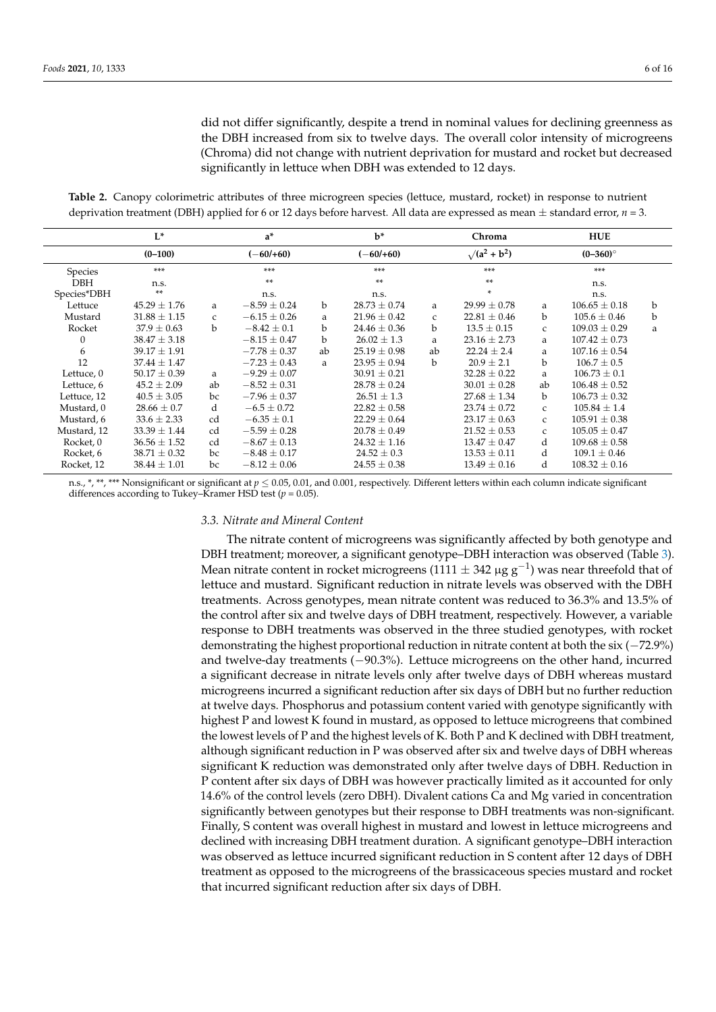did not differ significantly, despite a trend in nominal values for declining greenness as the DBH increased from six to twelve days. The overall color intensity of microgreens (Chroma) did not change with nutrient deprivation for mustard and rocket but decreased significantly in lettuce when DBH was extended to 12 days.

<span id="page-5-0"></span>**Table 2.** Canopy colorimetric attributes of three microgreen species (lettuce, mustard, rocket) in response to nutrient deprivation treatment (DBH) applied for 6 or 12 days before harvest. All data are expressed as mean  $\pm$  standard error,  $n = 3$ .

|              | $L^*$            | $a^*$        |                  |             | $b*$             | Chroma               |                  | <b>HUE</b>   |                   |             |
|--------------|------------------|--------------|------------------|-------------|------------------|----------------------|------------------|--------------|-------------------|-------------|
|              | $(0-100)$        |              | $(-60/160)$      |             | $(-60/160)$      | $\sqrt{(a^2 + b^2)}$ |                  | $(0-360)$ °  |                   |             |
| Species      | ***              |              | ***              |             | ***              |                      | ***              |              | ***               |             |
| <b>DBH</b>   | n.s.             |              | **               |             | **               |                      | **               |              | n.s.              |             |
| Species*DBH  | **               |              | n.s.             |             | n.s.             |                      | ×.               |              | n.s.              |             |
| Lettuce      | $45.29 \pm 1.76$ | a            | $-8.59 \pm 0.24$ | $\mathbf b$ | $28.73 \pm 0.74$ | a                    | $29.99 \pm 0.78$ | a            | $106.65 \pm 0.18$ | $\mathbf b$ |
| Mustard      | $31.88 \pm 1.15$ | $\mathsf{C}$ | $-6.15 \pm 0.26$ | a           | $21.96 \pm 0.42$ | $\mathsf{C}$         | $22.81 \pm 0.46$ | b            | $105.6 \pm 0.46$  | $\mathbf b$ |
| Rocket       | $37.9 \pm 0.63$  | b            | $-8.42 \pm 0.1$  | b           | $24.46 \pm 0.36$ | b                    | $13.5 \pm 0.15$  | $\mathsf{C}$ | $109.03 \pm 0.29$ | a           |
| $\mathbf{0}$ | $38.47 \pm 3.18$ |              | $-8.15 \pm 0.47$ | b           | $26.02 \pm 1.3$  | a                    | $23.16 \pm 2.73$ | a            | $107.42 \pm 0.73$ |             |
| 6            | $39.17 \pm 1.91$ |              | $-7.78 \pm 0.37$ | ab          | $25.19 \pm 0.98$ | ab                   | $22.24 \pm 2.4$  | a            | $107.16 \pm 0.54$ |             |
| 12           | $37.44 \pm 1.47$ |              | $-7.23 \pm 0.43$ | a           | $23.95 \pm 0.94$ | b                    | $20.9 \pm 2.1$   | b            | $106.7 \pm 0.5$   |             |
| Lettuce, 0   | $50.17 \pm 0.39$ | a            | $-9.29 \pm 0.07$ |             | $30.91 \pm 0.21$ |                      | $32.28 \pm 0.22$ | a            | $106.73 \pm 0.1$  |             |
| Lettuce, 6   | $45.2 \pm 2.09$  | ab           | $-8.52 \pm 0.31$ |             | $28.78 \pm 0.24$ |                      | $30.01 \pm 0.28$ | ab           | $106.48 \pm 0.52$ |             |
| Lettuce, 12  | $40.5 \pm 3.05$  | bc           | $-7.96 \pm 0.37$ |             | $26.51 \pm 1.3$  |                      | $27.68 \pm 1.34$ | $\mathbf b$  | $106.73 \pm 0.32$ |             |
| Mustard, 0   | $28.66 \pm 0.7$  | d            | $-6.5 \pm 0.72$  |             | $22.82 \pm 0.58$ |                      | $23.74 \pm 0.72$ | $\mathsf{C}$ | $105.84 \pm 1.4$  |             |
| Mustard, 6   | $33.6 \pm 2.33$  | cd           | $-6.35 \pm 0.1$  |             | $22.29 \pm 0.64$ |                      | $23.17 \pm 0.63$ | $\mathsf{C}$ | $105.91 \pm 0.38$ |             |
| Mustard, 12  | $33.39 \pm 1.44$ | cd           | $-5.59 \pm 0.28$ |             | $20.78 \pm 0.49$ |                      | $21.52 \pm 0.53$ | $\mathsf{C}$ | $105.05 \pm 0.47$ |             |
| Rocket, 0    | $36.56 \pm 1.52$ | cd           | $-8.67 \pm 0.13$ |             | $24.32 \pm 1.16$ |                      | $13.47 \pm 0.47$ | d            | $109.68 \pm 0.58$ |             |
| Rocket, 6    | $38.71 \pm 0.32$ | bc           | $-8.48 \pm 0.17$ |             | $24.52 \pm 0.3$  |                      | $13.53 \pm 0.11$ | d            | $109.1 \pm 0.46$  |             |
| Rocket, 12   | $38.44 \pm 1.01$ | bc           | $-8.12 \pm 0.06$ |             | $24.55 \pm 0.38$ |                      | $13.49 \pm 0.16$ | d            | $108.32 \pm 0.16$ |             |

n.s., \*, \*\*, \*\*\* Nonsignificant or significant at *p* ≤ 0.05, 0.01, and 0.001, respectively. Different letters within each column indicate significant differences according to Tukey–Kramer HSD test (*p* = 0.05).

# *3.3. Nitrate and Mineral Content*

The nitrate content of microgreens was significantly affected by both genotype and DBH treatment; moreover, a significant genotype–DBH interaction was observed (Table [3\)](#page-6-0). Mean nitrate content in rocket microgreens (1111  $\pm$  342 µg g<sup>-1</sup>) was near threefold that of lettuce and mustard. Significant reduction in nitrate levels was observed with the DBH treatments. Across genotypes, mean nitrate content was reduced to 36.3% and 13.5% of the control after six and twelve days of DBH treatment, respectively. However, a variable response to DBH treatments was observed in the three studied genotypes, with rocket demonstrating the highest proportional reduction in nitrate content at both the six (−72.9%) and twelve-day treatments (−90.3%). Lettuce microgreens on the other hand, incurred a significant decrease in nitrate levels only after twelve days of DBH whereas mustard microgreens incurred a significant reduction after six days of DBH but no further reduction at twelve days. Phosphorus and potassium content varied with genotype significantly with highest P and lowest K found in mustard, as opposed to lettuce microgreens that combined the lowest levels of P and the highest levels of K. Both P and K declined with DBH treatment, although significant reduction in P was observed after six and twelve days of DBH whereas significant K reduction was demonstrated only after twelve days of DBH. Reduction in P content after six days of DBH was however practically limited as it accounted for only 14.6% of the control levels (zero DBH). Divalent cations Ca and Mg varied in concentration significantly between genotypes but their response to DBH treatments was non-significant. Finally, S content was overall highest in mustard and lowest in lettuce microgreens and declined with increasing DBH treatment duration. A significant genotype–DBH interaction was observed as lettuce incurred significant reduction in S content after 12 days of DBH treatment as opposed to the microgreens of the brassicaceous species mustard and rocket that incurred significant reduction after six days of DBH.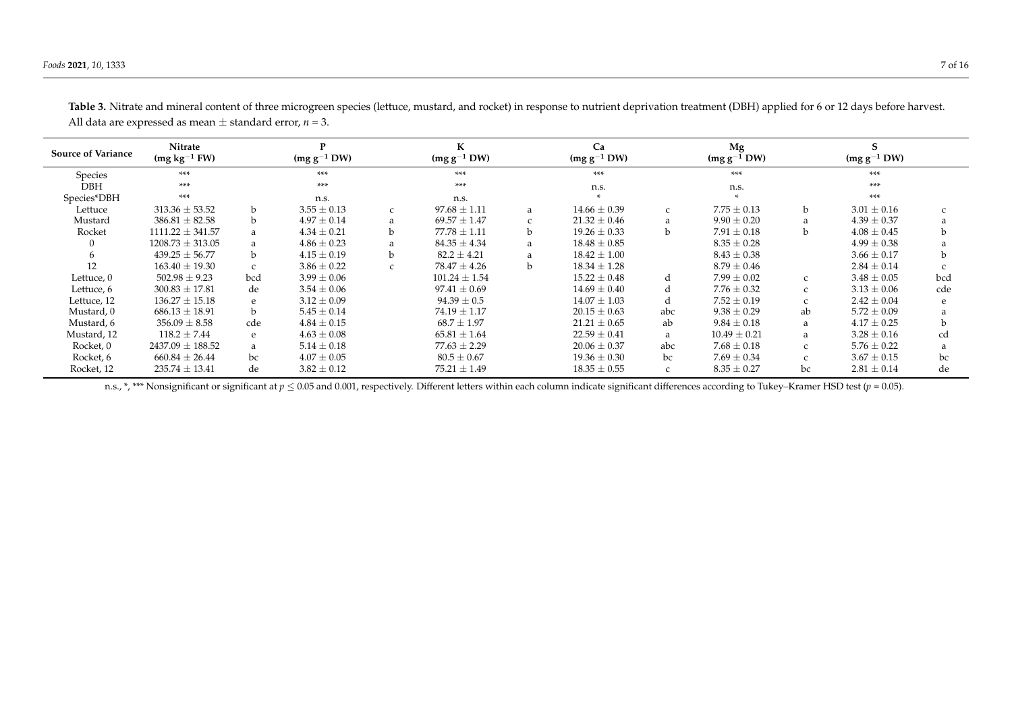| <b>Source of Variance</b> | Nitrate<br>$(mg kg-1 FW)$ |               | $(mg g^{-1} DW)$                | $(mg g^{-1} DW)$ |                       |    | Ca<br>$(mg g^{-1} DW)$ |               | Mg<br>$(mg g^{-1} DW)$ |              | $(mg g^{-1} DW)$ |     |  |
|---------------------------|---------------------------|---------------|---------------------------------|------------------|-----------------------|----|------------------------|---------------|------------------------|--------------|------------------|-----|--|
| Species                   | ***                       | ***           |                                 |                  | ***                   |    | ***                    |               | ***                    |              | ***              |     |  |
| <b>DBH</b>                | $***$                     | $***$         |                                 |                  | ***                   |    | n.s.                   |               | n.s.                   |              | ***              |     |  |
| Species*DBH               | $***$                     | n.s.          |                                 |                  | n.s.                  |    |                        |               |                        |              | ***              |     |  |
| Lettuce                   | $313.36 \pm 53.52$        | b.            | $3.55 \pm 0.13$<br>$\mathsf{C}$ |                  | $97.68 \pm 1.11$      | a  |                        | $\mathcal{C}$ | $7.75 \pm 0.13$        | b            | $3.01 \pm 0.16$  |     |  |
| Mustard                   | $386.81 \pm 82.58$        | b.            | $4.97 \pm 0.14$                 | a                | $69.57 \pm 1.47$      |    | $21.32 \pm 0.46$       | a             | $9.90 \pm 0.20$        |              | $4.39 \pm 0.37$  |     |  |
| Rocket                    | $1111.22 \pm 341.57$      | a             | $4.34 \pm 0.21$                 | b                | $77.78 \pm 1.11$      | b. | $19.26 \pm 0.33$       | b             | $7.91 \pm 0.18$        | b            | $4.08 \pm 0.45$  |     |  |
|                           | $1208.73 \pm 313.05$      | a             | $4.86 \pm 0.23$                 | a                | $84.35 \pm 4.34$      | a  | $18.48 \pm 0.85$       |               | $8.35 \pm 0.28$        |              | $4.99 \pm 0.38$  |     |  |
|                           | $439.25 \pm 56.77$        | b.            | $4.15 \pm 0.19$<br>$\mathbf b$  |                  | $82.2 \pm 4.21$       |    | $18.42 \pm 1.00$       |               | $8.43 \pm 0.38$        |              | $3.66 \pm 0.17$  |     |  |
| 12                        | $163.40 \pm 19.30$        | $\mathcal{C}$ | $3.86 \pm 0.22$<br>$\mathsf{C}$ |                  | $78.47 \pm 4.26$<br>b |    | $18.34 \pm 1.28$       |               | $8.79 \pm 0.46$        |              | $2.84 \pm 0.14$  |     |  |
| Lettuce, 0                | $502.98 \pm 9.23$         | bcd           | $3.99 \pm 0.06$                 |                  | $101.24 \pm 1.54$     |    | $15.22 \pm 0.48$       | d             | $7.99 \pm 0.02$        |              | $3.48 \pm 0.05$  | bcd |  |
| Lettuce, 6                | $300.83 \pm 17.81$        | de            | $3.54 \pm 0.06$                 |                  | $97.41 \pm 0.69$      |    | $14.69 \pm 0.40$       | d             | $7.76 \pm 0.32$        | $\epsilon$   | $3.13 \pm 0.06$  | cde |  |
| Lettuce, 12               | $136.27 \pm 15.18$        | e             | $3.12 \pm 0.09$                 |                  | $94.39 \pm 0.5$       |    | $14.07 \pm 1.03$       | d             | $7.52 \pm 0.19$        |              | $2.42 \pm 0.04$  | e   |  |
| Mustard, 0                | $686.13 \pm 18.91$        | b             | $5.45 \pm 0.14$                 |                  | $74.19 \pm 1.17$      |    | $20.15 \pm 0.63$       | abc           | $9.38 \pm 0.29$        | ab           | $5.72 \pm 0.09$  |     |  |
| Mustard, 6                | $356.09 \pm 8.58$         | cde           | $4.84 \pm 0.15$                 |                  | $68.7 \pm 1.97$       |    | $21.21 \pm 0.65$       | ab            | $9.84 \pm 0.18$        | a            | $4.17 \pm 0.25$  |     |  |
| Mustard, 12               | $118.2 \pm 7.44$          | e             | $4.63 \pm 0.08$                 |                  | $65.81 \pm 1.64$      |    | $22.59 \pm 0.41$       | a             | $10.49 \pm 0.21$       | <sub>a</sub> | $3.28 \pm 0.16$  | cd  |  |
| Rocket, 0                 | $2437.09 \pm 188.52$      | a             | $5.14 \pm 0.18$                 |                  | $77.63 \pm 2.29$      |    | $20.06 \pm 0.37$       |               | $7.68 \pm 0.18$        | $\epsilon$   | $5.76 \pm 0.22$  |     |  |
| Rocket, 6                 | $660.84 \pm 26.44$        | bc            | $4.07 \pm 0.05$                 |                  | $80.5 \pm 0.67$       |    | $19.36 \pm 0.30$       | bc            | $7.69 \pm 0.34$        |              | $3.67 \pm 0.15$  | bc  |  |
| Rocket, 12                | $235.74 \pm 13.41$        | de            | $3.82 \pm 0.12$                 |                  | $75.21 \pm 1.49$      |    | $18.35 \pm 0.55$       | C             | $8.35 \pm 0.27$        | bc           | $2.81 \pm 0.14$  | de  |  |

Table 3. Nitrate and mineral content of three microgreen species (lettuce, mustard, and rocket) in response to nutrient deprivation treatment (DBH) applied for 6 or 12 days before harvest. All data are expressed as mean  $\pm$  standard error,  $n = 3$ .

<span id="page-6-0"></span>n.s., \*, \*\*\* Nonsignificant or significant at  $p \le 0.05$  and 0.001, respectively. Different letters within each column indicate significant differences according to Tukey–Kramer HSD test ( $p = 0.05$ ).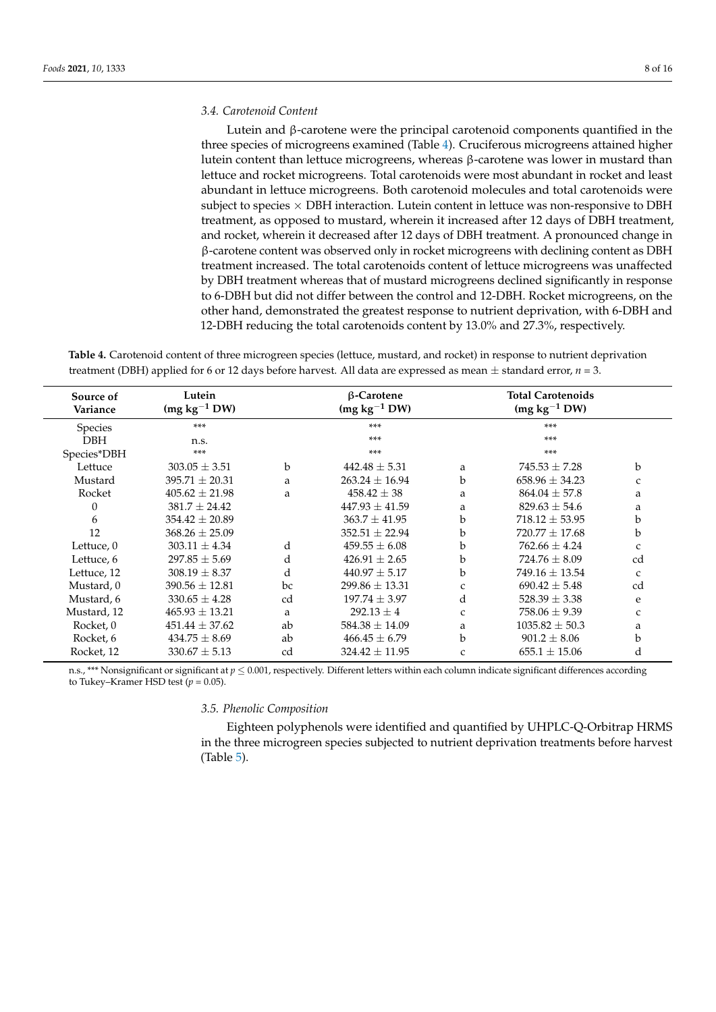## *3.4. Carotenoid Content*

Lutein and β-carotene were the principal carotenoid components quantified in the three species of microgreens examined (Table [4\)](#page-7-0). Cruciferous microgreens attained higher lutein content than lettuce microgreens, whereas β-carotene was lower in mustard than lettuce and rocket microgreens. Total carotenoids were most abundant in rocket and least abundant in lettuce microgreens. Both carotenoid molecules and total carotenoids were subject to species  $\times$  DBH interaction. Lutein content in lettuce was non-responsive to DBH treatment, as opposed to mustard, wherein it increased after 12 days of DBH treatment, and rocket, wherein it decreased after 12 days of DBH treatment. A pronounced change in β-carotene content was observed only in rocket microgreens with declining content as DBH treatment increased. The total carotenoids content of lettuce microgreens was unaffected by DBH treatment whereas that of mustard microgreens declined significantly in response to 6-DBH but did not differ between the control and 12-DBH. Rocket microgreens, on the other hand, demonstrated the greatest response to nutrient deprivation, with 6-DBH and 12-DBH reducing the total carotenoids content by 13.0% and 27.3%, respectively.

<span id="page-7-0"></span>**Table 4.** Carotenoid content of three microgreen species (lettuce, mustard, and rocket) in response to nutrient deprivation treatment (DBH) applied for 6 or 12 days before harvest. All data are expressed as mean  $\pm$  standard error,  $n = 3$ .

| Source of<br>Variance | Lutein<br>$(mg kg-1 DW)$ |             | $\beta$ -Carotene<br>$(mg kg-1 DW)$ |              |                    |               |
|-----------------------|--------------------------|-------------|-------------------------------------|--------------|--------------------|---------------|
| <b>Species</b>        | $***$                    |             | $***$                               |              | $***$              |               |
| <b>DBH</b>            | n.s.                     |             | $***$                               |              | $***$              |               |
| Species*DBH           | $***$                    |             | $***$                               |              | $***$              |               |
| Lettuce               | $303.05 \pm 3.51$        | $\mathbf b$ | $442.48 \pm 5.31$                   | a            | $745.53 \pm 7.28$  | b             |
| Mustard               | $395.71 \pm 20.31$       | a           | $263.24 \pm 16.94$                  | b            | $658.96 \pm 34.23$ | C             |
| Rocket                | $405.62 \pm 21.98$       | a           | $458.42 \pm 38$                     | a            | $864.04 \pm 57.8$  | a             |
| 0                     | $381.7 \pm 24.42$        |             | $447.93 \pm 41.59$                  | a            | $829.63 \pm 54.6$  | a             |
| 6                     | $354.42 + 20.89$         |             | $363.7 + 41.95$                     | b            | $718.12 + 53.95$   | b             |
| 12                    | $368.26 \pm 25.09$       |             | $352.51 \pm 22.94$                  | b            | $720.77 \pm 17.68$ | b             |
| Lettuce, 0            | $303.11 \pm 4.34$        | d           | $459.55 \pm 6.08$                   | b            | $762.66 \pm 4.24$  | $\mathbf{C}$  |
| Lettuce, 6            | $297.85 \pm 5.69$        | d           | $426.91 \pm 2.65$                   | b            | $724.76 \pm 8.09$  | cd            |
| Lettuce, 12           | $308.19 \pm 8.37$        | d           | $440.97 \pm 5.17$                   | b            | $749.16 + 13.54$   | $\mathcal{C}$ |
| Mustard, 0            | $390.56 \pm 12.81$       | bc          | $299.86 \pm 13.31$                  | $\mathsf{C}$ | $690.42 \pm 5.48$  | cd            |
| Mustard, 6            | $330.65 \pm 4.28$        | cd          | $197.74 \pm 3.97$                   | d            | $528.39 \pm 3.38$  | e             |
| Mustard, 12           | $465.93 \pm 13.21$       | a           | $292.13 \pm 4$                      | $\mathsf{C}$ | $758.06 \pm 9.39$  | C             |
| Rocket, 0             | $451.44 \pm 37.62$       | ab          | $584.38 \pm 14.09$                  | a            | $1035.82 \pm 50.3$ | a             |
| Rocket, 6             | $434.75 \pm 8.69$        | ab          | $466.45 \pm 6.79$                   | b            | $901.2 \pm 8.06$   | b             |
| Rocket, 12            | $330.67 \pm 5.13$        | cd          | $324.42 \pm 11.95$                  | C            | $655.1 \pm 15.06$  | d             |

n.s., \*\*\* Nonsignificant or significant at  $p < 0.001$ , respectively. Different letters within each column indicate significant differences according to Tukey–Kramer HSD test  $(p = 0.05)$ .

# *3.5. Phenolic Composition*

Eighteen polyphenols were identified and quantified by UHPLC-Q-Orbitrap HRMS in the three microgreen species subjected to nutrient deprivation treatments before harvest (Table [5\)](#page-8-0).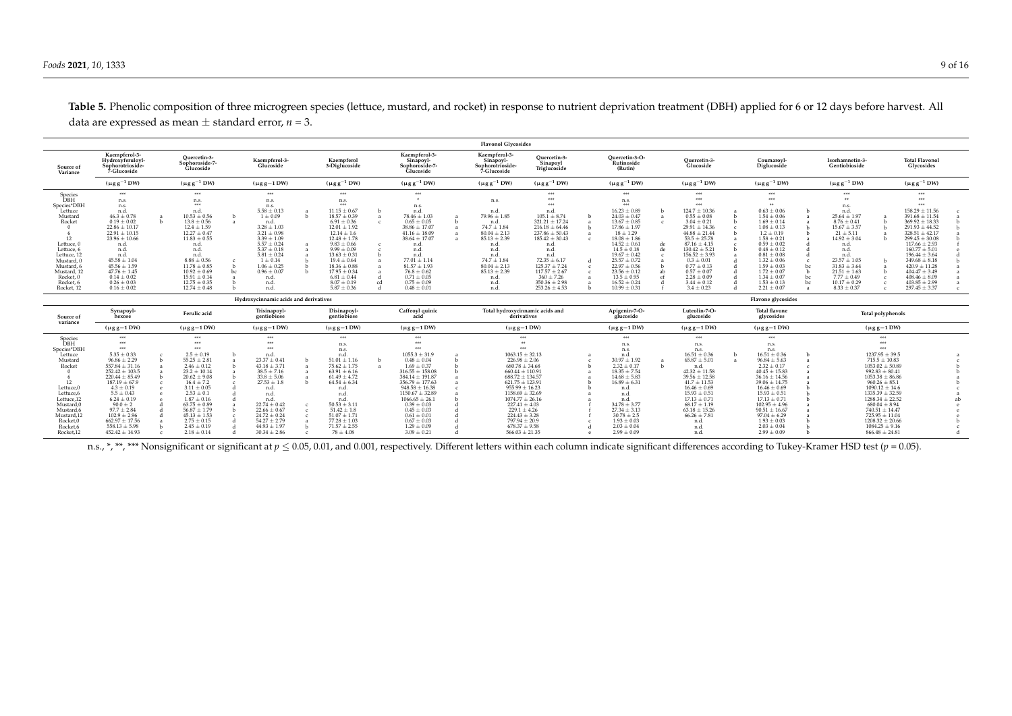|                                                                                                                                                                                                 | <b>Flavonol Glycosides</b>                                                                                                                                                                                                                                                                                                     |  |                                                                                                                                                                                                                                                                                                                   |                                                      |                                                                                                                                                                                                                                                                        |                                                                                      |                                                                                                                                                                                                                                                                                                                        |              |                                                                                                                                                                                                                                                                                                                                        |                                   |                                                                                                                                                                                                                                                                                                                                                                  |                                                                                                                                                                                                                                                                                        |                                                          |                                                                                                                                                                                                                                                                                                                           |                          |                                                                                                                                                                                                                                                                                                                                 |                   |                                                                                                                                                                                                                                                                                                 |                        |                                                                                                                                                                                                                                                                                                                                  |                |                                                                                                                                                                                                                                                                                                                                                    |                                                                                                                                                                                                                                                                                                                                                               |  |  |
|-------------------------------------------------------------------------------------------------------------------------------------------------------------------------------------------------|--------------------------------------------------------------------------------------------------------------------------------------------------------------------------------------------------------------------------------------------------------------------------------------------------------------------------------|--|-------------------------------------------------------------------------------------------------------------------------------------------------------------------------------------------------------------------------------------------------------------------------------------------------------------------|------------------------------------------------------|------------------------------------------------------------------------------------------------------------------------------------------------------------------------------------------------------------------------------------------------------------------------|--------------------------------------------------------------------------------------|------------------------------------------------------------------------------------------------------------------------------------------------------------------------------------------------------------------------------------------------------------------------------------------------------------------------|--------------|----------------------------------------------------------------------------------------------------------------------------------------------------------------------------------------------------------------------------------------------------------------------------------------------------------------------------------------|-----------------------------------|------------------------------------------------------------------------------------------------------------------------------------------------------------------------------------------------------------------------------------------------------------------------------------------------------------------------------------------------------------------|----------------------------------------------------------------------------------------------------------------------------------------------------------------------------------------------------------------------------------------------------------------------------------------|----------------------------------------------------------|---------------------------------------------------------------------------------------------------------------------------------------------------------------------------------------------------------------------------------------------------------------------------------------------------------------------------|--------------------------|---------------------------------------------------------------------------------------------------------------------------------------------------------------------------------------------------------------------------------------------------------------------------------------------------------------------------------|-------------------|-------------------------------------------------------------------------------------------------------------------------------------------------------------------------------------------------------------------------------------------------------------------------------------------------|------------------------|----------------------------------------------------------------------------------------------------------------------------------------------------------------------------------------------------------------------------------------------------------------------------------------------------------------------------------|----------------|----------------------------------------------------------------------------------------------------------------------------------------------------------------------------------------------------------------------------------------------------------------------------------------------------------------------------------------------------|---------------------------------------------------------------------------------------------------------------------------------------------------------------------------------------------------------------------------------------------------------------------------------------------------------------------------------------------------------------|--|--|
| Source of<br>Variance                                                                                                                                                                           | Kaempferol-3-<br>Hydroxyferuloyl<br>Sophorotrioside-<br>7-Glucoside                                                                                                                                                                                                                                                            |  | Ouercetin-3-<br>Sophoroside-7-<br><b>Glucoside</b>                                                                                                                                                                                                                                                                |                                                      | Kaempferol-3-<br>Glucoside                                                                                                                                                                                                                                             |                                                                                      | Kaempferol<br>3-Diglucoside                                                                                                                                                                                                                                                                                            |              | Kaempferol-3-<br>Sinapoyl-<br>Sophoroside-7-<br><b>Glucoside</b>                                                                                                                                                                                                                                                                       |                                   | Kaempferol-3-<br>Sinapoyl-<br>Sophorotrioside-<br>7-Glucoside                                                                                                                                                                                                                                                                                                    | Ouercetin-3-<br>Sinapoyl<br>Triglucoside                                                                                                                                                                                                                                               |                                                          | Ouercetin-3-O-<br>Rutinoside<br>(Rutin)                                                                                                                                                                                                                                                                                   |                          | Ouercetin-3-<br>Glucoside                                                                                                                                                                                                                                                                                                       |                   | Coumaroyl<br>Diglucoside                                                                                                                                                                                                                                                                        |                        | Isorhamnetin-3-<br>Gentiobioside                                                                                                                                                                                                                                                                                                 |                | <b>Total Flavonol</b><br>Glycosides                                                                                                                                                                                                                                                                                                                |                                                                                                                                                                                                                                                                                                                                                               |  |  |
|                                                                                                                                                                                                 | $(\mu g g^{-1} DW)$                                                                                                                                                                                                                                                                                                            |  | $(\mu g g^{-1} D W)$                                                                                                                                                                                                                                                                                              |                                                      | $(\mu g g - 1)$ DW)                                                                                                                                                                                                                                                    |                                                                                      | $(\mu g g^{-1} DW)$                                                                                                                                                                                                                                                                                                    |              | $(\mu g g^{-1} DW)$                                                                                                                                                                                                                                                                                                                    |                                   | $(\mu g g^{-1} DW)$                                                                                                                                                                                                                                                                                                                                              | $(\mu g g^{-1} DW)$                                                                                                                                                                                                                                                                    |                                                          | $(\mu g g^{-1} DW)$                                                                                                                                                                                                                                                                                                       |                          | $(\mu g g^{-1} DW)$                                                                                                                                                                                                                                                                                                             |                   | $(\mu g g^{-1} DW)$                                                                                                                                                                                                                                                                             |                        | $(\mu g g^{-1} DW)$                                                                                                                                                                                                                                                                                                              |                | $(\mu g g^{-1} DW)$                                                                                                                                                                                                                                                                                                                                |                                                                                                                                                                                                                                                                                                                                                               |  |  |
| Species<br>DBH<br>Species*DBH<br>Lettuce<br>Mustard<br>Rocket<br>12<br>Lettuce, 0<br>Lettuce, 6<br>Lettuce, 12<br>Mustard, 0<br>Mustard.<br>Mustard, 12<br>Rocket. 0<br>Rocket, 6<br>Rocket, 12 | ***<br>n.s.<br>n.s.<br>n.d.<br>$46.3 \pm 0.78$<br>$0.19 \pm 0.02$<br>$22.86 \pm 10.17$<br>$22.91 \pm 10.15$<br>$23.96 \pm 10.66$<br>n.d<br>n.d.<br>n.d.<br>$45.58 \pm 1.04$<br>$45.56 \pm 1.59$<br>$47.76 \pm 1.45$<br>$0.14 \pm 0.02$<br>$0.26 \pm 0.03$<br>$0.16 \pm 0.02$                                                   |  | ***<br>n.s.<br>***<br>n.d.<br>$10.53 \pm 0.56$<br>$13.8 \pm 0.56$<br>$12.4 \pm 1.59$<br>$12.27 \pm 0.47$<br>$11.83 \pm 0.55$<br>n.d.<br>n.d.<br>n.d.<br>$8.88 \pm 0.56$<br>$11.78 \pm 0.85$<br>$10.92 \pm 0.69$<br>$15.91 \pm 0.14$<br>$12.75 \pm 0.35$<br>$12.74 \pm 0.48$                                       | $\mathbf{a}$<br>c<br>$\mathbf{h}$<br>bc<br>$\lambda$ | ***<br>n.s.<br>n.s.<br>$5.58 \pm 0.13$<br>$1 \pm 0.09$<br>n.d.<br>$3.28 \pm 1.03$<br>$3.21 \pm 0.98$<br>$3.39 \pm 1.09$<br>$5.57 \pm 0.24$<br>$5.37 \pm 0.18$<br>$5.81 \pm 0.24$<br>$1 \pm 0.14$<br>$1.06 \pm 0.25$<br>$0.96 \pm 0.07$<br>n.d<br>n.d<br>n.d.           | $\lambda$<br>a<br>$\lambda$<br>$\lambda$                                             | ***<br>n.s.<br>222<br>$11.15 \pm 0.67$<br>$18.57 \pm 0.39$<br>$6.91 \pm 0.36$<br>$12.01 \pm 1.92$<br>$12.14 \pm 1.6$<br>$12.48 \pm 1.78$<br>$9.83 \pm 0.66$<br>$9.99 \pm 0.09$<br>$13.63 \pm 0.31$<br>$19.4 \pm 0.64$<br>$18.36 \pm 0.88$<br>$17.95 \pm 0.34$<br>$6.81 \pm 0.44$<br>$8.07 \pm 0.19$<br>$5.87 \pm 0.36$ | сd           | 地中<br>n.s.<br>n.d<br>$78.46 \pm 1.03$<br>$0.65 \pm 0.05$<br>$38.86 \pm 17.07$<br>$41.16 \pm 18.09$<br>$38.64 \pm 17.07$<br>n.d<br>n.d<br>n.d<br>$77.01 \pm 1.14$<br>$81.57 \pm 1.93$<br>$76.8 \pm 0.62$<br>$0.71 \pm 0.05$<br>$0.75 \pm 0.09$<br>$0.48 \pm 0.01$                                                                       | $\mathbf{h}$<br>$\mathbf{a}$<br>a | n.s.<br>n.d.<br>$79.96 \pm 1.85$<br>n.d.<br>$74.7 \pm 1.84$<br>$80.04 \pm 2.13$<br>$85.13 \pm 2.39$<br>n.d.<br>n.d.<br>n.d.<br>$74.7 \pm 1.84$<br>$80.04 \pm 2.13$<br>$85.13 \pm 2.39$<br>n.d.<br>n.d.<br>n.d.                                                                                                                                                   | ***<br>***<br>***<br>n.d.<br>$105.1 \pm 8.74$<br>$321.21 \pm 17.24$<br>$216.18 \pm 64.46$<br>$237.86 \pm 50.43$<br>$185.42 \pm 30.43$<br>n.d<br>n.d.<br>n.d.<br>$72.35 \pm 6.17$<br>$125.37 \pm 7.24$<br>$117.57 \pm 2.67$<br>$360 \pm 7.26$<br>$350.36 \pm 2.98$<br>$253.26 \pm 4.53$ |                                                          | ***<br>n.s.<br>***<br>$16.23 \pm 0.89$<br>$24.03 \pm 0.47$<br>$13.67 \pm 0.85$<br>$17.86 \pm 1.97$<br>$18 \pm 1.29$<br>$18.08 \pm 1.86$<br>$14.52 \pm 0.61$<br>$14.5 \pm 0.18$<br>$19.67 \pm 0.42$<br>$25.57 \pm 0.72$<br>$22.97 \pm 0.56$<br>$23.56 \pm 0.12$<br>$13.5 \pm 0.95$<br>$16.52 \pm 0.24$<br>$10.99 \pm 0.31$ | $\mathbf{a}$<br>de<br>de | <b>HAY</b><br><b>HAY</b><br>$124.7 \pm 10.36$<br>$0.55 \pm 0.08$<br>$3.04 \pm 0.21$<br>$29.91 \pm 14.36$<br>$44.88 \pm 21.44$<br>$53.5 \pm 25.78$<br>$87.16 \pm 4.15$<br>$130.42 \pm 5.21$<br>$156.52 \pm 3.93$<br>$0.3 \pm 0.01$<br>$0.77 \pm 0.13$<br>$0.57 \pm 0.07$<br>$2.28 \pm 0.09$<br>$3.44 \pm 0.12$<br>$3.4 \pm 0.23$ |                   | ***<br>$0.63 \pm 0.06$<br>$1.54 \pm 0.06$<br>$1.69 \pm 0.14$<br>$1.08 \pm 0.13$<br>$1.2 \pm 0.19$<br>$1.58 \pm 0.21$<br>$0.59 \pm 0.02$<br>$0.48 \pm 0.12$<br>$0.81 \pm 0.08$<br>$1.32 \pm 0.06$<br>$1.59 \pm 0.03$<br>$1.72 \pm 0.07$<br>$1.34 \pm 0.07$<br>$1.53 \pm 0.13$<br>$2.21 \pm 0.07$ | h<br>$\mathbf{b}$<br>h | <b>With</b><br>n.s.<br>n.d.<br>$25.64 \pm 1.97$<br>$8.76 \pm 0.41$<br>$15.67 \pm 3.57$<br>$21 \pm 5.11$<br>$14.92 \pm 3.04$<br>n.d.<br>n.d.<br>n.d.<br>$23.57 \pm 1.05$<br>$31.83 \pm 3.64$<br>$21.51 \pm 1.63$<br>$7.77 \pm 0.49$<br>$10.17 \pm 0.29$<br>$8.33 \pm 0.37$                                                        |                | ***<br>***<br>***<br>$158.29 \pm 11.56$<br>$391.68 \pm 11.54$<br>$369.92 \pm 18.33$<br>$291.93 \pm 44.52$<br>$328.51 \pm 42.17$<br>$299.45 \pm 30.08$<br>$117.66 \pm 2.93$<br>$160.77 \pm 5.01$<br>$196.44 \pm 3.64$<br>$349.68 \pm 8.18$<br>$420.9 \pm 11.28$<br>$404.47 \pm 3.49$<br>$408.46 \pm 8.09$<br>$403.85 \pm 2.99$<br>$297.45 \pm 3.37$ |                                                                                                                                                                                                                                                                                                                                                               |  |  |
|                                                                                                                                                                                                 |                                                                                                                                                                                                                                                                                                                                |  |                                                                                                                                                                                                                                                                                                                   |                                                      | Hydroxycinnamic acids and derivatives                                                                                                                                                                                                                                  |                                                                                      |                                                                                                                                                                                                                                                                                                                        |              |                                                                                                                                                                                                                                                                                                                                        |                                   |                                                                                                                                                                                                                                                                                                                                                                  |                                                                                                                                                                                                                                                                                        |                                                          |                                                                                                                                                                                                                                                                                                                           |                          |                                                                                                                                                                                                                                                                                                                                 |                   | Flavone glycosides                                                                                                                                                                                                                                                                              |                        |                                                                                                                                                                                                                                                                                                                                  |                |                                                                                                                                                                                                                                                                                                                                                    |                                                                                                                                                                                                                                                                                                                                                               |  |  |
| Source of                                                                                                                                                                                       | Synapoyl-<br>hexose                                                                                                                                                                                                                                                                                                            |  | Ferulic acid                                                                                                                                                                                                                                                                                                      |                                                      | Trisinapoyl-<br>gentiobiose                                                                                                                                                                                                                                            |                                                                                      | Disinapoyl-<br>gentiobiose                                                                                                                                                                                                                                                                                             |              | Caffeoyl quinic                                                                                                                                                                                                                                                                                                                        |                                   | Total hydroxycinnamic acids and<br>derivatives                                                                                                                                                                                                                                                                                                                   |                                                                                                                                                                                                                                                                                        | Luteolin-7-O-<br>Apigenin-7-O-<br>glucoside<br>glucoside |                                                                                                                                                                                                                                                                                                                           |                          |                                                                                                                                                                                                                                                                                                                                 |                   | <b>Total flavone</b><br>glycosides                                                                                                                                                                                                                                                              |                        | <b>Total polyphenols</b>                                                                                                                                                                                                                                                                                                         |                |                                                                                                                                                                                                                                                                                                                                                    |                                                                                                                                                                                                                                                                                                                                                               |  |  |
| variance                                                                                                                                                                                        | $(\mu g g - 1 DW)$                                                                                                                                                                                                                                                                                                             |  | $(\mu$ g g $-1$ DW)                                                                                                                                                                                                                                                                                               |                                                      | $(\mu$ g g $-1$ DW)                                                                                                                                                                                                                                                    |                                                                                      | $(\mu$ g g $-1$ DW)                                                                                                                                                                                                                                                                                                    |              | $(\mu g g - 1 DW)$                                                                                                                                                                                                                                                                                                                     |                                   | $(\mu g g - 1)$ DW)                                                                                                                                                                                                                                                                                                                                              |                                                                                                                                                                                                                                                                                        |                                                          | $(\mu g g - 1 DW)$                                                                                                                                                                                                                                                                                                        |                          | $(\mu$ gg-1DW)                                                                                                                                                                                                                                                                                                                  | $(\mu g g - 1DW)$ | $(\mu$ gg-1 DW)                                                                                                                                                                                                                                                                                 |                        |                                                                                                                                                                                                                                                                                                                                  |                |                                                                                                                                                                                                                                                                                                                                                    |                                                                                                                                                                                                                                                                                                                                                               |  |  |
| Species<br>DBH<br>Species*DBH<br>Lettuce<br>Mustard<br>Rocket<br>Lettuce,0<br>Lettuce,6<br>Lettuce,12<br>Mustard.0<br>Mustard,6<br>Mustard.12<br>Rocket.0<br>Rocket,6<br>Rocket.12              | ***<br>***<br>***<br>$5.35 \pm 0.33$<br>$96.86 \pm 2.29$<br>$557.84 \pm 31.16$<br>$252.42 \pm 103.5$<br>$220.44 \pm 85.49$<br>$187.19 \pm 67.9$<br>$4.3 \pm 0.19$<br>$5.5 \pm 0.43$<br>$6.24 \pm 0.19$<br>$90.0 \pm 2$<br>$97.7 \pm 2.84$<br>$102.9 \pm 2.96$<br>$662.97 \pm 17.56$<br>$558.13 \pm 5.98$<br>$452.42 \pm 14.93$ |  | ***<br>***<br>***<br>$2.5 \pm 0.19$<br>$55.25 \pm 2.81$<br>$2.46 \pm 0.12$<br>$23.2 \pm 10.14$<br>$20.62 \pm 9.08$<br>$16.4 \pm 7.2$<br>$3.11 \pm 0.05$<br>$2.53 \pm 0.1$<br>$1.87 \pm 0.16$<br>$63.75 \pm 0.89$<br>$56.87 \pm 1.79$<br>$45.13 \pm 1.53$<br>$2.75 \pm 0.15$<br>$2.45 \pm 0.19$<br>$2.18 \pm 0.14$ |                                                      | ***<br>222<br>***<br>n.d<br>$23.37 \pm 0.41$<br>$43.18 \pm 3.71$<br>$38.5 \pm 7.16$<br>$33.8 \pm 5.06$<br>$27.53 \pm 1.8$<br>n.d<br>n.d<br>n.d<br>$22.74 \pm 0.42$<br>$22.66 \pm 0.67$<br>$24.72 \pm 0.24$<br>$54.27 \pm 2.79$<br>$44.93 \pm 1.97$<br>$30.34 \pm 2.86$ | $\mathbf{h}$<br>$\lambda$<br>$\lambda$<br>$\lambda$<br>$\mathbf{c}$<br>$\mathcal{C}$ | ***<br>n.s.<br>n.s.<br>n.d<br>$51.01 \pm 1.16$<br>$75.62 \pm 1.75$<br>$63.91 \pm 6.16$<br>$61.49 \pm 4.72$<br>$64.54 \pm 6.34$<br>n.d<br>n.d<br>n.d<br>$50.53 \pm 3.11$<br>$51.42 \pm 1.8$<br>$51.07 \pm 1.71$<br>$77.28 \pm 1.03$<br>$71.57 \pm 2.55$<br>$78 \pm 4.08$                                                | $\mathbf{a}$ | ***<br>***<br>***<br>$1055.3 \pm 31.9$<br>$0.48 \pm 0.04$<br>$1.69 \pm 0.37$<br>$316.55 \pm 158.08$<br>$384.14 \pm 191.87$<br>$356.79 \pm 177.63$<br>$948.58 \pm 16.38$<br>$1150.67 \pm 32.89$<br>$1066.65 \pm 26.1$<br>$0.39 \pm 0.03$<br>$0.45 \pm 0.03$<br>$0.61 \pm 0.01$<br>$0.67 \pm 0.03$<br>$1.29 \pm 0.09$<br>$3.09 \pm 0.21$ |                                   | 444<br><b>MW</b><br>222<br>$1063.15 \pm 32.13$<br>$226.98 \pm 2.06$<br>$680.78 \pm 34.68$<br>$660.44 \pm 110.91$<br>$688.72 \pm 134.57$<br>$621.75 \pm 123.91$<br>$955.99 \pm 16.23$<br>$1158.69 \pm 32.69$<br>$1074.77 \pm 26.16$<br>$227.41 \pm 4.03$<br>$229.1 \pm 4.26$<br>$224.43 \pm 3.28$<br>$797.94 \pm 20.9$<br>$678.37 \pm 9.58$<br>$566.03 \pm 21.35$ |                                                                                                                                                                                                                                                                                        |                                                          |                                                                                                                                                                                                                                                                                                                           |                          | ***<br>n.s.<br>n.s.<br>n.d.<br>$30.97 \pm 1.92$<br>$2.32 \pm 0.17$<br>$18.35 \pm 7.54$<br>$14.68 \pm 5.83$<br>$16.89 \pm 6.31$<br>n.d.<br>n.d.<br>n.d.<br>$34.78 \pm 3.77$<br>$27.34 \pm 3.13$<br>$30.78 \pm 2.5$<br>$1.93 \pm 0.03$<br>$2.03 \pm 0.04$<br>$2.99 \pm 0.09$                                                      |                   | 222<br>n.s.<br>n.s.<br>$16.51 \pm 0.36$<br>$65.87 \pm 5.01$<br>n.d.<br>$42.32 \pm 11.58$<br>$39.56 \pm 12.58$<br>$41.7 \pm 11.53$<br>$16.46 \pm 0.69$<br>$15.93 \pm 0.51$<br>$17.13 \pm 0.71$<br>$68.17 \pm 1.19$<br>$63.18 \pm 15.26$<br>$66.26 \pm 7.81$<br>n.d.<br>n.d.<br>n.d.              |                        | ***<br>n.s.<br>n.s.<br>$16.51 \pm 0.36$<br>$96.84 \pm 5.63$<br>$2.32 \pm 0.17$<br>$40.45 \pm 15.83$<br>$36.16 \pm 14.56$<br>$39.06 \pm 14.75$<br>$16.46 \pm 0.69$<br>$15.93 \pm 0.51$<br>$17.13 \pm 0.71$<br>$102.95 \pm 4.96$<br>$90.51 \pm 16.67$<br>$97.04 \pm 6.29$<br>$1.93 \pm 0.03$<br>$2.03 \pm 0.04$<br>$2.99 \pm 0.09$ | $\overline{a}$ |                                                                                                                                                                                                                                                                                                                                                    | ***<br>***<br>***<br>$1237.95 \pm 39.5$<br>$715.5 \pm 10.83$<br>$1053.02 \pm 50.89$<br>$992.83 \pm 80.41$<br>$1053.38 \pm 86.86$<br>$960.26 \pm 85.1$<br>$1090.12 \pm 14.6$<br>$1335.39 \pm 32.59$<br>$1288.34 \pm 22.52$<br>$680.04 \pm 8.94$<br>$740.51 \pm 14.47$<br>$725.95 \pm 11.04$<br>$1208.32 \pm 20.66$<br>$1084.25 \pm 9.16$<br>$866.48 \pm 24.81$ |  |  |

Table 5. Phenolic composition of three microgreen species (lettuce, mustard, and rocket) in response to nutrient deprivation treatment (DBH) applied for 6 or 12 days before harvest. All data are expressed as mean  $\pm$  standard error,  $n = 3$ .

<span id="page-8-0"></span>n.s., \*, \*\*\* Nonsignificant or significant at  $p \le 0.05$ , 0.01, and 0.001, respectively. Different letters within each column indicate significant differences according to Tukey-Kramer HSD test ( $p = 0.05$ ).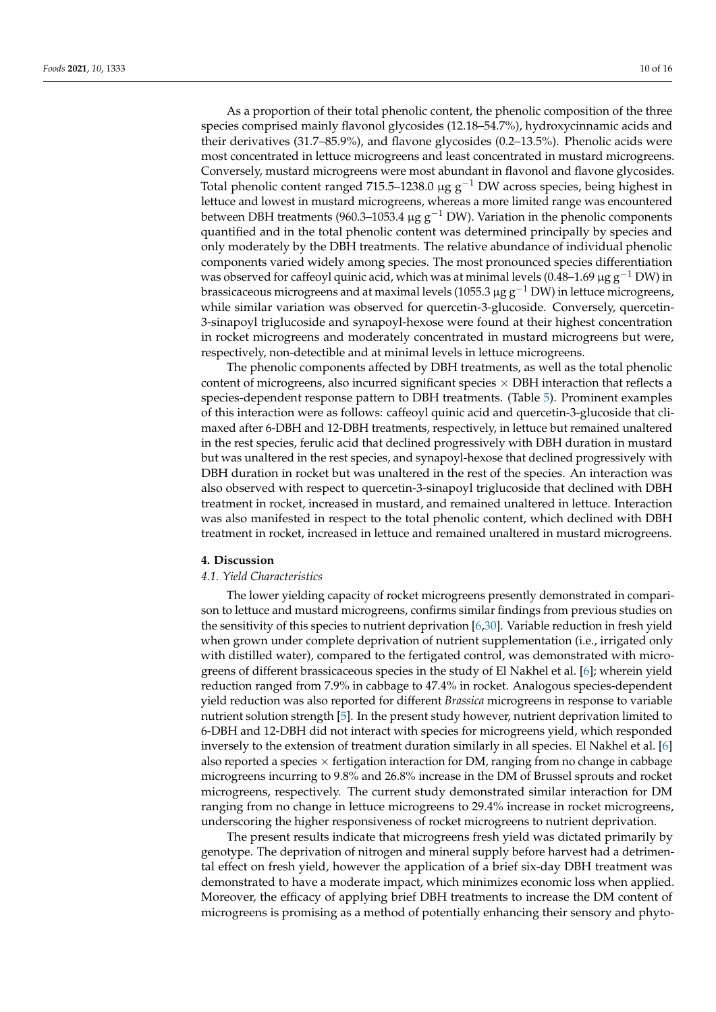As a proportion of their total phenolic content, the phenolic composition of the three species comprised mainly flavonol glycosides (12.18–54.7%), hydroxycinnamic acids and their derivatives (31.7–85.9%), and flavone glycosides (0.2–13.5%). Phenolic acids were most concentrated in lettuce microgreens and least concentrated in mustard microgreens. Conversely, mustard microgreens were most abundant in flavonol and flavone glycosides. Total phenolic content ranged 715.5–1238.0 µg  $g^{-1}$  DW across species, being highest in lettuce and lowest in mustard microgreens, whereas a more limited range was encountered between DBH treatments (960.3–1053.4 µg  $g^{-1}$  DW). Variation in the phenolic components quantified and in the total phenolic content was determined principally by species and only moderately by the DBH treatments. The relative abundance of individual phenolic components varied widely among species. The most pronounced species differentiation was observed for caffeoyl quinic acid, which was at minimal levels (0.48–1.69  $\mu$ g g<sup>-1</sup> DW) in brassicaceous microgreens and at maximal levels (1055.3  $\mu$ g g<sup>-1</sup> DW) in lettuce microgreens, while similar variation was observed for quercetin-3-glucoside. Conversely, quercetin-3-sinapoyl triglucoside and synapoyl-hexose were found at their highest concentration in rocket microgreens and moderately concentrated in mustard microgreens but were, respectively, non-detectible and at minimal levels in lettuce microgreens.

The phenolic components affected by DBH treatments, as well as the total phenolic content of microgreens, also incurred significant species  $\times$  DBH interaction that reflects a species-dependent response pattern to DBH treatments. (Table [5\)](#page-8-0). Prominent examples of this interaction were as follows: caffeoyl quinic acid and quercetin-3-glucoside that climaxed after 6-DBH and 12-DBH treatments, respectively, in lettuce but remained unaltered in the rest species, ferulic acid that declined progressively with DBH duration in mustard but was unaltered in the rest species, and synapoyl-hexose that declined progressively with DBH duration in rocket but was unaltered in the rest of the species. An interaction was also observed with respect to quercetin-3-sinapoyl triglucoside that declined with DBH treatment in rocket, increased in mustard, and remained unaltered in lettuce. Interaction was also manifested in respect to the total phenolic content, which declined with DBH treatment in rocket, increased in lettuce and remained unaltered in mustard microgreens.

# **4. Discussion**

# *4.1. Yield Characteristics*

The lower yielding capacity of rocket microgreens presently demonstrated in comparison to lettuce and mustard microgreens, confirms similar findings from previous studies on the sensitivity of this species to nutrient deprivation [\[6,](#page-13-4)[30\]](#page-14-13). Variable reduction in fresh yield when grown under complete deprivation of nutrient supplementation (i.e., irrigated only with distilled water), compared to the fertigated control, was demonstrated with microgreens of different brassicaceous species in the study of El Nakhel et al. [\[6\]](#page-13-4); wherein yield reduction ranged from 7.9% in cabbage to 47.4% in rocket. Analogous species-dependent yield reduction was also reported for different *Brassica* microgreens in response to variable nutrient solution strength [\[5\]](#page-13-2). In the present study however, nutrient deprivation limited to 6-DBH and 12-DBH did not interact with species for microgreens yield, which responded inversely to the extension of treatment duration similarly in all species. El Nakhel et al. [\[6\]](#page-13-4) also reported a species  $\times$  fertigation interaction for DM, ranging from no change in cabbage microgreens incurring to 9.8% and 26.8% increase in the DM of Brussel sprouts and rocket microgreens, respectively. The current study demonstrated similar interaction for DM ranging from no change in lettuce microgreens to 29.4% increase in rocket microgreens, underscoring the higher responsiveness of rocket microgreens to nutrient deprivation.

The present results indicate that microgreens fresh yield was dictated primarily by genotype. The deprivation of nitrogen and mineral supply before harvest had a detrimental effect on fresh yield, however the application of a brief six-day DBH treatment was demonstrated to have a moderate impact, which minimizes economic loss when applied. Moreover, the efficacy of applying brief DBH treatments to increase the DM content of microgreens is promising as a method of potentially enhancing their sensory and phyto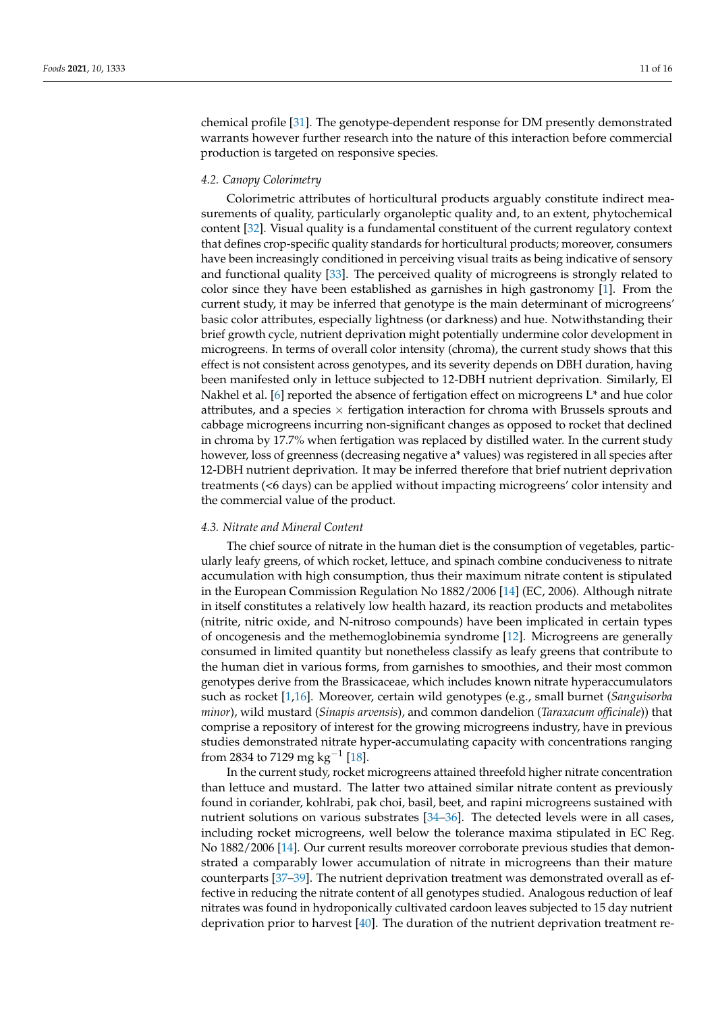chemical profile [\[31\]](#page-14-14). The genotype-dependent response for DM presently demonstrated warrants however further research into the nature of this interaction before commercial production is targeted on responsive species.

## *4.2. Canopy Colorimetry*

Colorimetric attributes of horticultural products arguably constitute indirect measurements of quality, particularly organoleptic quality and, to an extent, phytochemical content [\[32\]](#page-14-15). Visual quality is a fundamental constituent of the current regulatory context that defines crop-specific quality standards for horticultural products; moreover, consumers have been increasingly conditioned in perceiving visual traits as being indicative of sensory and functional quality [\[33\]](#page-14-16). The perceived quality of microgreens is strongly related to color since they have been established as garnishes in high gastronomy [\[1\]](#page-13-0). From the current study, it may be inferred that genotype is the main determinant of microgreens' basic color attributes, especially lightness (or darkness) and hue. Notwithstanding their brief growth cycle, nutrient deprivation might potentially undermine color development in microgreens. In terms of overall color intensity (chroma), the current study shows that this effect is not consistent across genotypes, and its severity depends on DBH duration, having been manifested only in lettuce subjected to 12-DBH nutrient deprivation. Similarly, El Nakhel et al. [\[6\]](#page-13-4) reported the absence of fertigation effect on microgreens  $L^*$  and hue color attributes, and a species  $\times$  fertigation interaction for chroma with Brussels sprouts and cabbage microgreens incurring non-significant changes as opposed to rocket that declined in chroma by 17.7% when fertigation was replaced by distilled water. In the current study however, loss of greenness (decreasing negative a\* values) was registered in all species after 12-DBH nutrient deprivation. It may be inferred therefore that brief nutrient deprivation treatments (<6 days) can be applied without impacting microgreens' color intensity and the commercial value of the product.

## *4.3. Nitrate and Mineral Content*

The chief source of nitrate in the human diet is the consumption of vegetables, particularly leafy greens, of which rocket, lettuce, and spinach combine conduciveness to nitrate accumulation with high consumption, thus their maximum nitrate content is stipulated in the European Commission Regulation No 1882/2006 [\[14\]](#page-13-12) (EC, 2006). Although nitrate in itself constitutes a relatively low health hazard, its reaction products and metabolites (nitrite, nitric oxide, and N-nitroso compounds) have been implicated in certain types of oncogenesis and the methemoglobinemia syndrome [\[12\]](#page-13-10). Microgreens are generally consumed in limited quantity but nonetheless classify as leafy greens that contribute to the human diet in various forms, from garnishes to smoothies, and their most common genotypes derive from the Brassicaceae, which includes known nitrate hyperaccumulators such as rocket [\[1](#page-13-0)[,16\]](#page-13-14). Moreover, certain wild genotypes (e.g., small burnet (*Sanguisorba minor*), wild mustard (*Sinapis arvensis*), and common dandelion (*Taraxacum officinale*)) that comprise a repository of interest for the growing microgreens industry, have in previous studies demonstrated nitrate hyper-accumulating capacity with concentrations ranging from 2834 to 7129 mg kg<sup>-1</sup> [\[18\]](#page-14-1).

In the current study, rocket microgreens attained threefold higher nitrate concentration than lettuce and mustard. The latter two attained similar nitrate content as previously found in coriander, kohlrabi, pak choi, basil, beet, and rapini microgreens sustained with nutrient solutions on various substrates [\[34](#page-14-17)[–36\]](#page-14-18). The detected levels were in all cases, including rocket microgreens, well below the tolerance maxima stipulated in EC Reg. No 1882/2006 [\[14\]](#page-13-12). Our current results moreover corroborate previous studies that demonstrated a comparably lower accumulation of nitrate in microgreens than their mature counterparts [\[37](#page-14-19)[–39\]](#page-14-20). The nutrient deprivation treatment was demonstrated overall as effective in reducing the nitrate content of all genotypes studied. Analogous reduction of leaf nitrates was found in hydroponically cultivated cardoon leaves subjected to 15 day nutrient deprivation prior to harvest [\[40\]](#page-14-21). The duration of the nutrient deprivation treatment re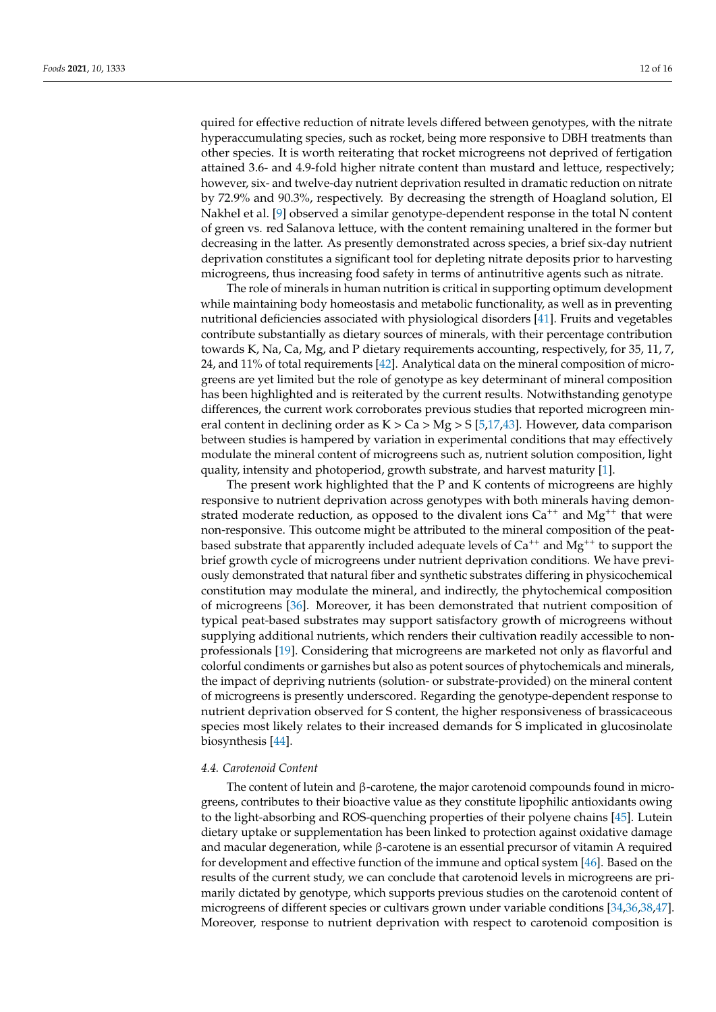quired for effective reduction of nitrate levels differed between genotypes, with the nitrate hyperaccumulating species, such as rocket, being more responsive to DBH treatments than other species. It is worth reiterating that rocket microgreens not deprived of fertigation attained 3.6- and 4.9-fold higher nitrate content than mustard and lettuce, respectively; however, six- and twelve-day nutrient deprivation resulted in dramatic reduction on nitrate by 72.9% and 90.3%, respectively. By decreasing the strength of Hoagland solution, El Nakhel et al. [\[9\]](#page-13-7) observed a similar genotype-dependent response in the total N content of green vs. red Salanova lettuce, with the content remaining unaltered in the former but decreasing in the latter. As presently demonstrated across species, a brief six-day nutrient deprivation constitutes a significant tool for depleting nitrate deposits prior to harvesting microgreens, thus increasing food safety in terms of antinutritive agents such as nitrate.

The role of minerals in human nutrition is critical in supporting optimum development while maintaining body homeostasis and metabolic functionality, as well as in preventing nutritional deficiencies associated with physiological disorders [\[41\]](#page-15-0). Fruits and vegetables contribute substantially as dietary sources of minerals, with their percentage contribution towards K, Na, Ca, Mg, and P dietary requirements accounting, respectively, for 35, 11, 7, 24, and 11% of total requirements [\[42\]](#page-15-1). Analytical data on the mineral composition of microgreens are yet limited but the role of genotype as key determinant of mineral composition has been highlighted and is reiterated by the current results. Notwithstanding genotype differences, the current work corroborates previous studies that reported microgreen mineral content in declining order as  $K > Ca > Mg > S$  [\[5](#page-13-2)[,17](#page-14-0)[,43\]](#page-15-2). However, data comparison between studies is hampered by variation in experimental conditions that may effectively modulate the mineral content of microgreens such as, nutrient solution composition, light quality, intensity and photoperiod, growth substrate, and harvest maturity [\[1\]](#page-13-0).

The present work highlighted that the P and K contents of microgreens are highly responsive to nutrient deprivation across genotypes with both minerals having demonstrated moderate reduction, as opposed to the divalent ions  $Ca^{++}$  and  $Mg^{++}$  that were non-responsive. This outcome might be attributed to the mineral composition of the peatbased substrate that apparently included adequate levels of  $Ca^{++}$  and  $Mg^{++}$  to support the brief growth cycle of microgreens under nutrient deprivation conditions. We have previously demonstrated that natural fiber and synthetic substrates differing in physicochemical constitution may modulate the mineral, and indirectly, the phytochemical composition of microgreens [\[36\]](#page-14-18). Moreover, it has been demonstrated that nutrient composition of typical peat-based substrates may support satisfactory growth of microgreens without supplying additional nutrients, which renders their cultivation readily accessible to nonprofessionals [\[19\]](#page-14-2). Considering that microgreens are marketed not only as flavorful and colorful condiments or garnishes but also as potent sources of phytochemicals and minerals, the impact of depriving nutrients (solution- or substrate-provided) on the mineral content of microgreens is presently underscored. Regarding the genotype-dependent response to nutrient deprivation observed for S content, the higher responsiveness of brassicaceous species most likely relates to their increased demands for S implicated in glucosinolate biosynthesis [\[44\]](#page-15-3).

## *4.4. Carotenoid Content*

The content of lutein and β-carotene, the major carotenoid compounds found in microgreens, contributes to their bioactive value as they constitute lipophilic antioxidants owing to the light-absorbing and ROS-quenching properties of their polyene chains [\[45\]](#page-15-4). Lutein dietary uptake or supplementation has been linked to protection against oxidative damage and macular degeneration, while  $\beta$ -carotene is an essential precursor of vitamin A required for development and effective function of the immune and optical system [\[46\]](#page-15-5). Based on the results of the current study, we can conclude that carotenoid levels in microgreens are primarily dictated by genotype, which supports previous studies on the carotenoid content of microgreens of different species or cultivars grown under variable conditions [\[34](#page-14-17)[,36](#page-14-18)[,38](#page-14-22)[,47\]](#page-15-6). Moreover, response to nutrient deprivation with respect to carotenoid composition is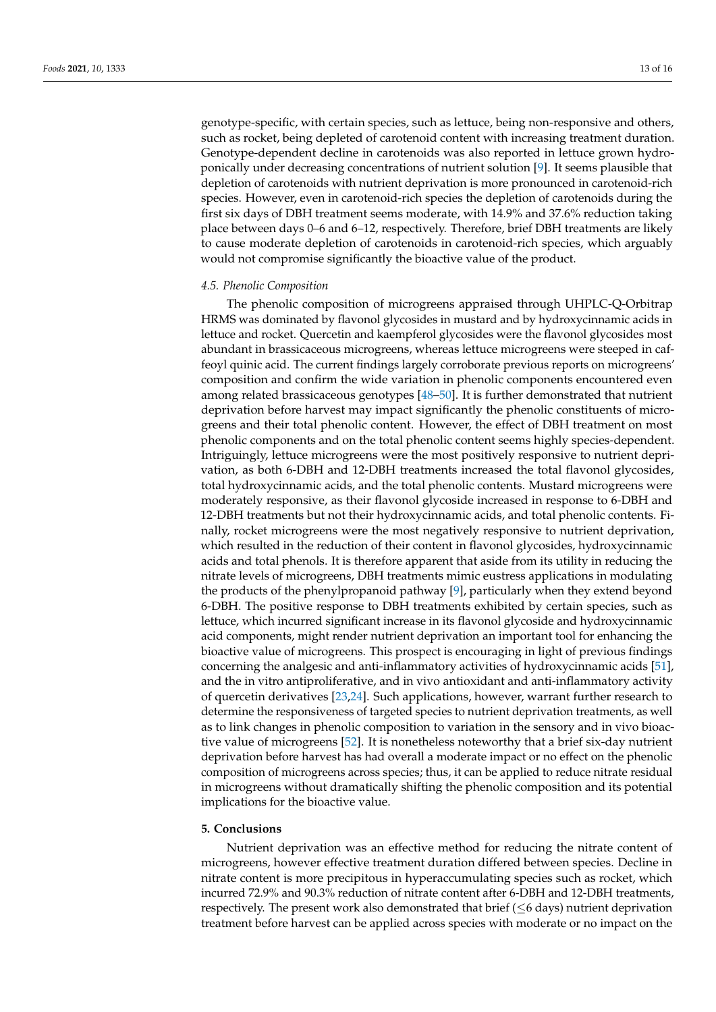genotype-specific, with certain species, such as lettuce, being non-responsive and others, such as rocket, being depleted of carotenoid content with increasing treatment duration. Genotype-dependent decline in carotenoids was also reported in lettuce grown hydroponically under decreasing concentrations of nutrient solution [\[9\]](#page-13-7). It seems plausible that depletion of carotenoids with nutrient deprivation is more pronounced in carotenoid-rich species. However, even in carotenoid-rich species the depletion of carotenoids during the first six days of DBH treatment seems moderate, with 14.9% and 37.6% reduction taking place between days 0–6 and 6–12, respectively. Therefore, brief DBH treatments are likely to cause moderate depletion of carotenoids in carotenoid-rich species, which arguably would not compromise significantly the bioactive value of the product.

## *4.5. Phenolic Composition*

The phenolic composition of microgreens appraised through UHPLC-Q-Orbitrap HRMS was dominated by flavonol glycosides in mustard and by hydroxycinnamic acids in lettuce and rocket. Quercetin and kaempferol glycosides were the flavonol glycosides most abundant in brassicaceous microgreens, whereas lettuce microgreens were steeped in caffeoyl quinic acid. The current findings largely corroborate previous reports on microgreens' composition and confirm the wide variation in phenolic components encountered even among related brassicaceous genotypes [\[48](#page-15-7)[–50\]](#page-15-8). It is further demonstrated that nutrient deprivation before harvest may impact significantly the phenolic constituents of microgreens and their total phenolic content. However, the effect of DBH treatment on most phenolic components and on the total phenolic content seems highly species-dependent. Intriguingly, lettuce microgreens were the most positively responsive to nutrient deprivation, as both 6-DBH and 12-DBH treatments increased the total flavonol glycosides, total hydroxycinnamic acids, and the total phenolic contents. Mustard microgreens were moderately responsive, as their flavonol glycoside increased in response to 6-DBH and 12-DBH treatments but not their hydroxycinnamic acids, and total phenolic contents. Finally, rocket microgreens were the most negatively responsive to nutrient deprivation, which resulted in the reduction of their content in flavonol glycosides, hydroxycinnamic acids and total phenols. It is therefore apparent that aside from its utility in reducing the nitrate levels of microgreens, DBH treatments mimic eustress applications in modulating the products of the phenylpropanoid pathway [\[9\]](#page-13-7), particularly when they extend beyond 6-DBH. The positive response to DBH treatments exhibited by certain species, such as lettuce, which incurred significant increase in its flavonol glycoside and hydroxycinnamic acid components, might render nutrient deprivation an important tool for enhancing the bioactive value of microgreens. This prospect is encouraging in light of previous findings concerning the analgesic and anti-inflammatory activities of hydroxycinnamic acids [\[51\]](#page-15-9), and the in vitro antiproliferative, and in vivo antioxidant and anti-inflammatory activity of quercetin derivatives [\[23,](#page-14-6)[24\]](#page-14-7). Such applications, however, warrant further research to determine the responsiveness of targeted species to nutrient deprivation treatments, as well as to link changes in phenolic composition to variation in the sensory and in vivo bioactive value of microgreens [\[52\]](#page-15-10). It is nonetheless noteworthy that a brief six-day nutrient deprivation before harvest has had overall a moderate impact or no effect on the phenolic composition of microgreens across species; thus, it can be applied to reduce nitrate residual in microgreens without dramatically shifting the phenolic composition and its potential implications for the bioactive value.

## **5. Conclusions**

Nutrient deprivation was an effective method for reducing the nitrate content of microgreens, however effective treatment duration differed between species. Decline in nitrate content is more precipitous in hyperaccumulating species such as rocket, which incurred 72.9% and 90.3% reduction of nitrate content after 6-DBH and 12-DBH treatments, respectively. The present work also demonstrated that brief  $(\leq 6$  days) nutrient deprivation treatment before harvest can be applied across species with moderate or no impact on the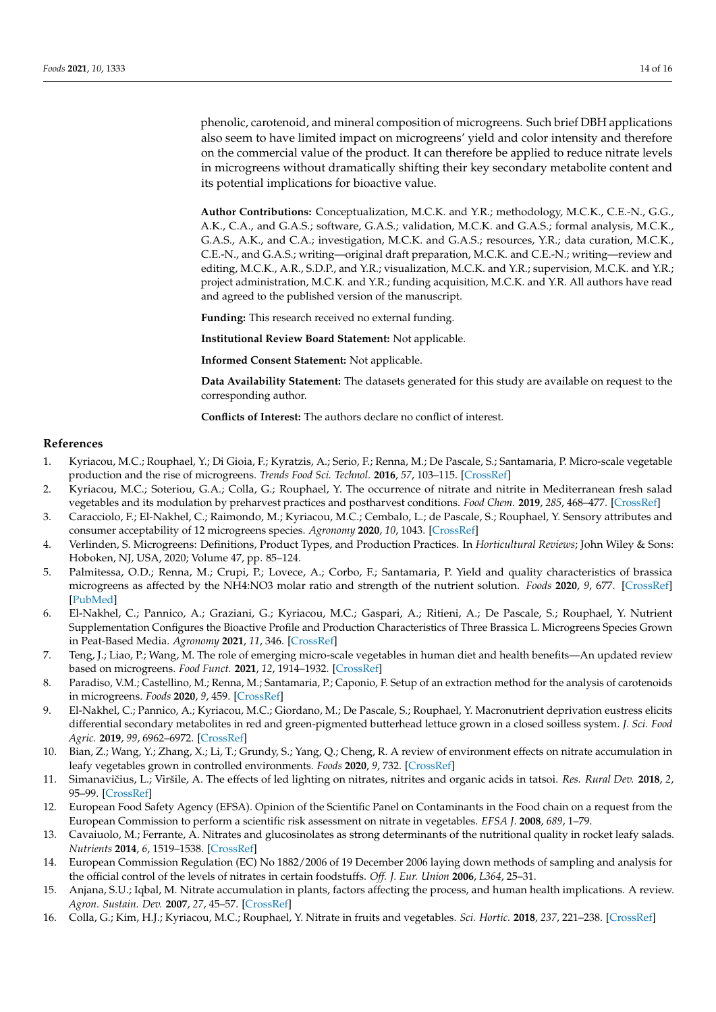phenolic, carotenoid, and mineral composition of microgreens. Such brief DBH applications also seem to have limited impact on microgreens' yield and color intensity and therefore on the commercial value of the product. It can therefore be applied to reduce nitrate levels in microgreens without dramatically shifting their key secondary metabolite content and its potential implications for bioactive value.

**Author Contributions:** Conceptualization, M.C.K. and Y.R.; methodology, M.C.K., C.E.-N., G.G., A.K., C.A., and G.A.S.; software, G.A.S.; validation, M.C.K. and G.A.S.; formal analysis, M.C.K., G.A.S., A.K., and C.A.; investigation, M.C.K. and G.A.S.; resources, Y.R.; data curation, M.C.K., C.E.-N., and G.A.S.; writing—original draft preparation, M.C.K. and C.E.-N.; writing—review and editing, M.C.K., A.R., S.D.P., and Y.R.; visualization, M.C.K. and Y.R.; supervision, M.C.K. and Y.R.; project administration, M.C.K. and Y.R.; funding acquisition, M.C.K. and Y.R. All authors have read and agreed to the published version of the manuscript.

**Funding:** This research received no external funding.

**Institutional Review Board Statement:** Not applicable.

**Informed Consent Statement:** Not applicable.

**Data Availability Statement:** The datasets generated for this study are available on request to the corresponding author.

**Conflicts of Interest:** The authors declare no conflict of interest.

## **References**

- <span id="page-13-0"></span>1. Kyriacou, M.C.; Rouphael, Y.; Di Gioia, F.; Kyratzis, A.; Serio, F.; Renna, M.; De Pascale, S.; Santamaria, P. Micro-scale vegetable production and the rise of microgreens. *Trends Food Sci. Technol.* **2016**, *57*, 103–115. [\[CrossRef\]](http://doi.org/10.1016/j.tifs.2016.09.005)
- 2. Kyriacou, M.C.; Soteriou, G.A.; Colla, G.; Rouphael, Y. The occurrence of nitrate and nitrite in Mediterranean fresh salad vegetables and its modulation by preharvest practices and postharvest conditions. *Food Chem.* **2019**, *285*, 468–477. [\[CrossRef\]](http://doi.org/10.1016/j.foodchem.2019.02.001)
- <span id="page-13-3"></span>3. Caracciolo, F.; El-Nakhel, C.; Raimondo, M.; Kyriacou, M.C.; Cembalo, L.; de Pascale, S.; Rouphael, Y. Sensory attributes and consumer acceptability of 12 microgreens species. *Agronomy* **2020**, *10*, 1043. [\[CrossRef\]](http://doi.org/10.3390/agronomy10071043)
- <span id="page-13-1"></span>4. Verlinden, S. Microgreens: Definitions, Product Types, and Production Practices. In *Horticultural Reviews*; John Wiley & Sons: Hoboken, NJ, USA, 2020; Volume 47, pp. 85–124.
- <span id="page-13-2"></span>5. Palmitessa, O.D.; Renna, M.; Crupi, P.; Lovece, A.; Corbo, F.; Santamaria, P. Yield and quality characteristics of brassica microgreens as affected by the NH4:NO3 molar ratio and strength of the nutrient solution. *Foods* **2020**, *9*, 677. [\[CrossRef\]](http://doi.org/10.3390/foods9050677) [\[PubMed\]](http://www.ncbi.nlm.nih.gov/pubmed/32466141)
- <span id="page-13-4"></span>6. El-Nakhel, C.; Pannico, A.; Graziani, G.; Kyriacou, M.C.; Gaspari, A.; Ritieni, A.; De Pascale, S.; Rouphael, Y. Nutrient Supplementation Configures the Bioactive Profile and Production Characteristics of Three Brassica L. Microgreens Species Grown in Peat-Based Media. *Agronomy* **2021**, *11*, 346. [\[CrossRef\]](http://doi.org/10.3390/agronomy11020346)
- <span id="page-13-5"></span>7. Teng, J.; Liao, P.; Wang, M. The role of emerging micro-scale vegetables in human diet and health benefits—An updated review based on microgreens. *Food Funct.* **2021**, *12*, 1914–1932. [\[CrossRef\]](http://doi.org/10.1039/D0FO03299A)
- <span id="page-13-6"></span>8. Paradiso, V.M.; Castellino, M.; Renna, M.; Santamaria, P.; Caponio, F. Setup of an extraction method for the analysis of carotenoids in microgreens. *Foods* **2020**, *9*, 459. [\[CrossRef\]](http://doi.org/10.3390/foods9040459)
- <span id="page-13-7"></span>9. El-Nakhel, C.; Pannico, A.; Kyriacou, M.C.; Giordano, M.; De Pascale, S.; Rouphael, Y. Macronutrient deprivation eustress elicits differential secondary metabolites in red and green-pigmented butterhead lettuce grown in a closed soilless system. *J. Sci. Food Agric.* **2019**, *99*, 6962–6972. [\[CrossRef\]](http://doi.org/10.1002/jsfa.9985)
- <span id="page-13-8"></span>10. Bian, Z.; Wang, Y.; Zhang, X.; Li, T.; Grundy, S.; Yang, Q.; Cheng, R. A review of environment effects on nitrate accumulation in leafy vegetables grown in controlled environments. *Foods* **2020**, *9*, 732. [\[CrossRef\]](http://doi.org/10.3390/foods9060732)
- <span id="page-13-9"></span>11. Simanavičius, L.; Viršile, A. The effects of led lighting on nitrates, nitrites and organic acids in tatsoi. Res. Rural Dev. 2018, 2, 95–99. [\[CrossRef\]](http://doi.org/10.22616/rrd.24.2018.057)
- <span id="page-13-10"></span>12. European Food Safety Agency (EFSA). Opinion of the Scientific Panel on Contaminants in the Food chain on a request from the European Commission to perform a scientific risk assessment on nitrate in vegetables. *EFSA J.* **2008**, *689*, 1–79.
- <span id="page-13-11"></span>13. Cavaiuolo, M.; Ferrante, A. Nitrates and glucosinolates as strong determinants of the nutritional quality in rocket leafy salads. *Nutrients* **2014**, *6*, 1519–1538. [\[CrossRef\]](http://doi.org/10.3390/nu6041519)
- <span id="page-13-12"></span>14. European Commission Regulation (EC) No 1882/2006 of 19 December 2006 laying down methods of sampling and analysis for the official control of the levels of nitrates in certain foodstuffs. *Off. J. Eur. Union* **2006**, *L364*, 25–31.
- <span id="page-13-13"></span>15. Anjana, S.U.; Iqbal, M. Nitrate accumulation in plants, factors affecting the process, and human health implications. A review. *Agron. Sustain. Dev.* **2007**, *27*, 45–57. [\[CrossRef\]](http://doi.org/10.1051/agro:2006021)
- <span id="page-13-14"></span>16. Colla, G.; Kim, H.J.; Kyriacou, M.C.; Rouphael, Y. Nitrate in fruits and vegetables. *Sci. Hortic.* **2018**, *237*, 221–238. [\[CrossRef\]](http://doi.org/10.1016/j.scienta.2018.04.016)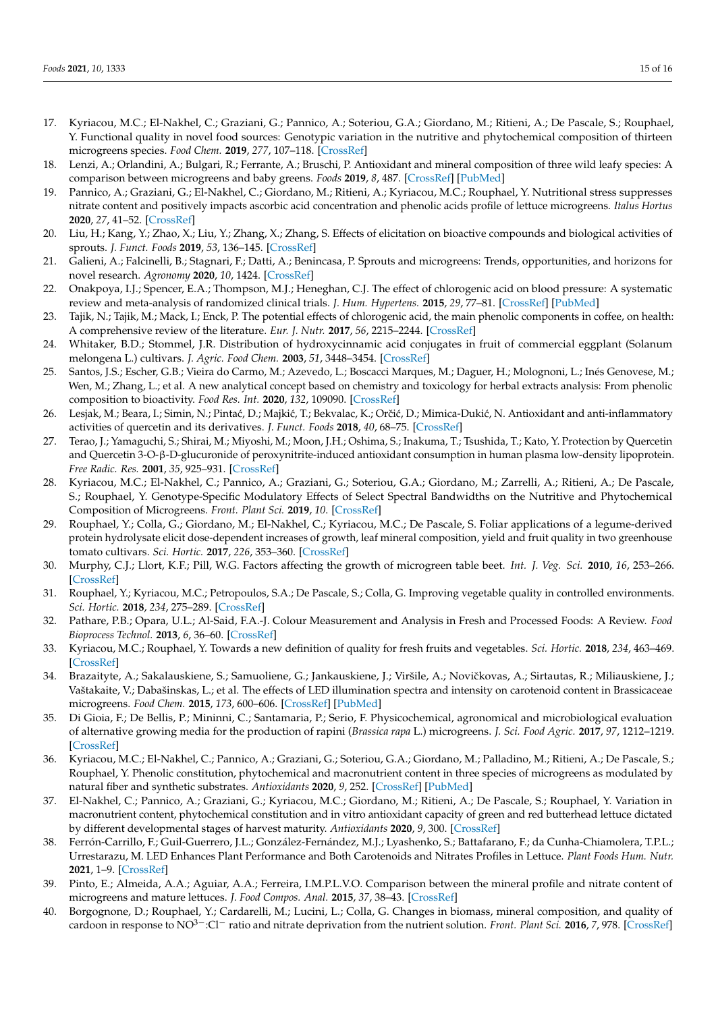- <span id="page-14-0"></span>17. Kyriacou, M.C.; El-Nakhel, C.; Graziani, G.; Pannico, A.; Soteriou, G.A.; Giordano, M.; Ritieni, A.; De Pascale, S.; Rouphael, Y. Functional quality in novel food sources: Genotypic variation in the nutritive and phytochemical composition of thirteen microgreens species. *Food Chem.* **2019**, *277*, 107–118. [\[CrossRef\]](http://doi.org/10.1016/j.foodchem.2018.10.098)
- <span id="page-14-1"></span>18. Lenzi, A.; Orlandini, A.; Bulgari, R.; Ferrante, A.; Bruschi, P. Antioxidant and mineral composition of three wild leafy species: A comparison between microgreens and baby greens. *Foods* **2019**, *8*, 487. [\[CrossRef\]](http://doi.org/10.3390/foods8100487) [\[PubMed\]](http://www.ncbi.nlm.nih.gov/pubmed/31614816)
- <span id="page-14-2"></span>19. Pannico, A.; Graziani, G.; El-Nakhel, C.; Giordano, M.; Ritieni, A.; Kyriacou, M.C.; Rouphael, Y. Nutritional stress suppresses nitrate content and positively impacts ascorbic acid concentration and phenolic acids profile of lettuce microgreens. *Italus Hortus* **2020**, *27*, 41–52. [\[CrossRef\]](http://doi.org/10.26353/j.itahort/2020.3.4152)
- <span id="page-14-3"></span>20. Liu, H.; Kang, Y.; Zhao, X.; Liu, Y.; Zhang, X.; Zhang, S. Effects of elicitation on bioactive compounds and biological activities of sprouts. *J. Funct. Foods* **2019**, *53*, 136–145. [\[CrossRef\]](http://doi.org/10.1016/j.jff.2018.12.019)
- <span id="page-14-4"></span>21. Galieni, A.; Falcinelli, B.; Stagnari, F.; Datti, A.; Benincasa, P. Sprouts and microgreens: Trends, opportunities, and horizons for novel research. *Agronomy* **2020**, *10*, 1424. [\[CrossRef\]](http://doi.org/10.3390/agronomy10091424)
- <span id="page-14-5"></span>22. Onakpoya, I.J.; Spencer, E.A.; Thompson, M.J.; Heneghan, C.J. The effect of chlorogenic acid on blood pressure: A systematic review and meta-analysis of randomized clinical trials. *J. Hum. Hypertens.* **2015**, *29*, 77–81. [\[CrossRef\]](http://doi.org/10.1038/jhh.2014.46) [\[PubMed\]](http://www.ncbi.nlm.nih.gov/pubmed/24943289)
- <span id="page-14-6"></span>23. Tajik, N.; Tajik, M.; Mack, I.; Enck, P. The potential effects of chlorogenic acid, the main phenolic components in coffee, on health: A comprehensive review of the literature. *Eur. J. Nutr.* **2017**, *56*, 2215–2244. [\[CrossRef\]](http://doi.org/10.1007/s00394-017-1379-1)
- <span id="page-14-7"></span>24. Whitaker, B.D.; Stommel, J.R. Distribution of hydroxycinnamic acid conjugates in fruit of commercial eggplant (Solanum melongena L.) cultivars. *J. Agric. Food Chem.* **2003**, *51*, 3448–3454. [\[CrossRef\]](http://doi.org/10.1021/jf026250b)
- <span id="page-14-8"></span>25. Santos, J.S.; Escher, G.B.; Vieira do Carmo, M.; Azevedo, L.; Boscacci Marques, M.; Daguer, H.; Molognoni, L.; Inés Genovese, M.; Wen, M.; Zhang, L.; et al. A new analytical concept based on chemistry and toxicology for herbal extracts analysis: From phenolic composition to bioactivity. *Food Res. Int.* **2020**, *132*, 109090. [\[CrossRef\]](http://doi.org/10.1016/j.foodres.2020.109090)
- <span id="page-14-9"></span>26. Lesjak, M.; Beara, I.; Simin, N.; Pintać, D.; Majkić, T.; Bekvalac, K.; Orčić, D.; Mimica-Dukić, N. Antioxidant and anti-inflammatory activities of quercetin and its derivatives. *J. Funct. Foods* **2018**, *40*, 68–75. [\[CrossRef\]](http://doi.org/10.1016/j.jff.2017.10.047)
- <span id="page-14-10"></span>27. Terao, J.; Yamaguchi, S.; Shirai, M.; Miyoshi, M.; Moon, J.H.; Oshima, S.; Inakuma, T.; Tsushida, T.; Kato, Y. Protection by Quercetin and Quercetin 3-O-β-D-glucuronide of peroxynitrite-induced antioxidant consumption in human plasma low-density lipoprotein. *Free Radic. Res.* **2001**, *35*, 925–931. [\[CrossRef\]](http://doi.org/10.1080/10715760100301421)
- <span id="page-14-11"></span>28. Kyriacou, M.C.; El-Nakhel, C.; Pannico, A.; Graziani, G.; Soteriou, G.A.; Giordano, M.; Zarrelli, A.; Ritieni, A.; De Pascale, S.; Rouphael, Y. Genotype-Specific Modulatory Effects of Select Spectral Bandwidths on the Nutritive and Phytochemical Composition of Microgreens. *Front. Plant Sci.* **2019**, *10*. [\[CrossRef\]](http://doi.org/10.3389/fpls.2019.01501)
- <span id="page-14-12"></span>29. Rouphael, Y.; Colla, G.; Giordano, M.; El-Nakhel, C.; Kyriacou, M.C.; De Pascale, S. Foliar applications of a legume-derived protein hydrolysate elicit dose-dependent increases of growth, leaf mineral composition, yield and fruit quality in two greenhouse tomato cultivars. *Sci. Hortic.* **2017**, *226*, 353–360. [\[CrossRef\]](http://doi.org/10.1016/j.scienta.2017.09.007)
- <span id="page-14-13"></span>30. Murphy, C.J.; Llort, K.F.; Pill, W.G. Factors affecting the growth of microgreen table beet. *Int. J. Veg. Sci.* **2010**, *16*, 253–266. [\[CrossRef\]](http://doi.org/10.1080/19315261003648241)
- <span id="page-14-14"></span>31. Rouphael, Y.; Kyriacou, M.C.; Petropoulos, S.A.; De Pascale, S.; Colla, G. Improving vegetable quality in controlled environments. *Sci. Hortic.* **2018**, *234*, 275–289. [\[CrossRef\]](http://doi.org/10.1016/j.scienta.2018.02.033)
- <span id="page-14-15"></span>32. Pathare, P.B.; Opara, U.L.; Al-Said, F.A.-J. Colour Measurement and Analysis in Fresh and Processed Foods: A Review. *Food Bioprocess Technol.* **2013**, *6*, 36–60. [\[CrossRef\]](http://doi.org/10.1007/s11947-012-0867-9)
- <span id="page-14-16"></span>33. Kyriacou, M.C.; Rouphael, Y. Towards a new definition of quality for fresh fruits and vegetables. *Sci. Hortic.* **2018**, *234*, 463–469. [\[CrossRef\]](http://doi.org/10.1016/j.scienta.2017.09.046)
- <span id="page-14-17"></span>34. Brazaityte, A.; Sakalauskiene, S.; Samuoliene, G.; Jankauskiene, J.; Viršile, A.; Novičkovas, A.; Sirtautas, R.; Miliauskiene, J.; Vaštakaite, V.; Dabašinskas, L.; et al. The effects of LED illumination spectra and intensity on carotenoid content in Brassicaceae microgreens. *Food Chem.* **2015**, *173*, 600–606. [\[CrossRef\]](http://doi.org/10.1016/j.foodchem.2014.10.077) [\[PubMed\]](http://www.ncbi.nlm.nih.gov/pubmed/25466065)
- 35. Di Gioia, F.; De Bellis, P.; Mininni, C.; Santamaria, P.; Serio, F. Physicochemical, agronomical and microbiological evaluation of alternative growing media for the production of rapini (*Brassica rapa* L.) microgreens. *J. Sci. Food Agric.* **2017**, *97*, 1212–1219. [\[CrossRef\]](http://doi.org/10.1002/jsfa.7852)
- <span id="page-14-18"></span>36. Kyriacou, M.C.; El-Nakhel, C.; Pannico, A.; Graziani, G.; Soteriou, G.A.; Giordano, M.; Palladino, M.; Ritieni, A.; De Pascale, S.; Rouphael, Y. Phenolic constitution, phytochemical and macronutrient content in three species of microgreens as modulated by natural fiber and synthetic substrates. *Antioxidants* **2020**, *9*, 252. [\[CrossRef\]](http://doi.org/10.3390/antiox9030252) [\[PubMed\]](http://www.ncbi.nlm.nih.gov/pubmed/32244953)
- <span id="page-14-19"></span>37. El-Nakhel, C.; Pannico, A.; Graziani, G.; Kyriacou, M.C.; Giordano, M.; Ritieni, A.; De Pascale, S.; Rouphael, Y. Variation in macronutrient content, phytochemical constitution and in vitro antioxidant capacity of green and red butterhead lettuce dictated by different developmental stages of harvest maturity. *Antioxidants* **2020**, *9*, 300. [\[CrossRef\]](http://doi.org/10.3390/antiox9040300)
- <span id="page-14-22"></span>38. Ferrón-Carrillo, F.; Guil-Guerrero, J.L.; González-Fernández, M.J.; Lyashenko, S.; Battafarano, F.; da Cunha-Chiamolera, T.P.L.; Urrestarazu, M. LED Enhances Plant Performance and Both Carotenoids and Nitrates Profiles in Lettuce. *Plant Foods Hum. Nutr.* **2021**, 1–9. [\[CrossRef\]](http://doi.org/10.1007/s11130-021-00894-8)
- <span id="page-14-20"></span>39. Pinto, E.; Almeida, A.A.; Aguiar, A.A.; Ferreira, I.M.P.L.V.O. Comparison between the mineral profile and nitrate content of microgreens and mature lettuces. *J. Food Compos. Anal.* **2015**, *37*, 38–43. [\[CrossRef\]](http://doi.org/10.1016/j.jfca.2014.06.018)
- <span id="page-14-21"></span>40. Borgognone, D.; Rouphael, Y.; Cardarelli, M.; Lucini, L.; Colla, G. Changes in biomass, mineral composition, and quality of cardoon in response to NO3−:Cl<sup>−</sup> ratio and nitrate deprivation from the nutrient solution. *Front. Plant Sci.* **2016**, *7*, 978. [\[CrossRef\]](http://doi.org/10.3389/fpls.2016.00978)